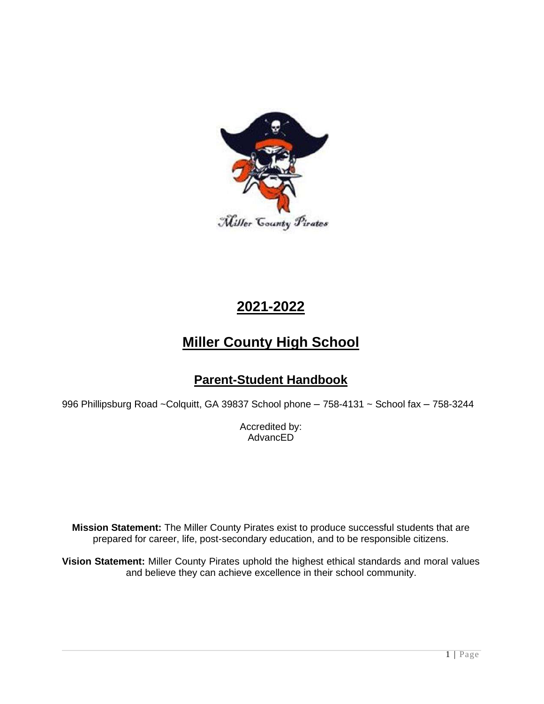

# **2021-2022**

# **Miller County High School**

# **Parent-Student Handbook**

996 Phillipsburg Road ~Colquitt, GA 39837 School phone – 758-4131 ~ School fax – 758-3244

Accredited by: AdvancED

**Mission Statement:** The Miller County Pirates exist to produce successful students that are prepared for career, life, post-secondary education, and to be responsible citizens.

**Vision Statement:** Miller County Pirates uphold the highest ethical standards and moral values and believe they can achieve excellence in their school community.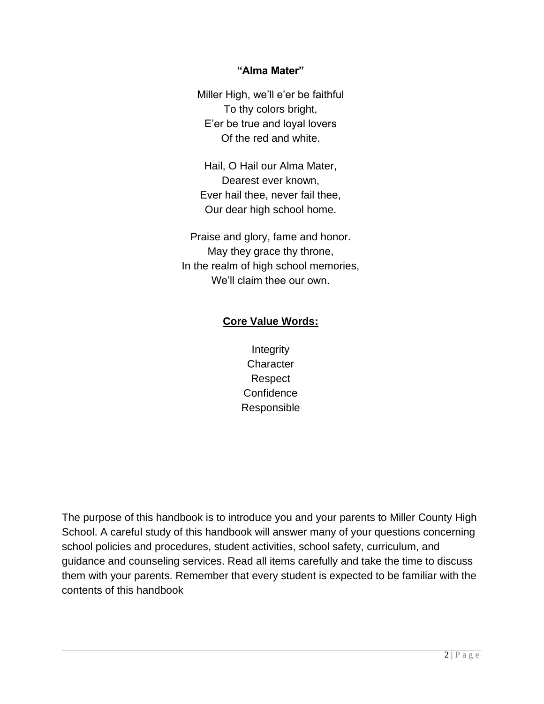# **"Alma Mater"**

Miller High, we'll e'er be faithful To thy colors bright, E'er be true and loyal lovers Of the red and white.

Hail, O Hail our Alma Mater, Dearest ever known, Ever hail thee, never fail thee, Our dear high school home.

Praise and glory, fame and honor. May they grace thy throne, In the realm of high school memories, We'll claim thee our own.

# **Core Value Words:**

**Integrity Character** Respect **Confidence** Responsible

The purpose of this handbook is to introduce you and your parents to Miller County High School. A careful study of this handbook will answer many of your questions concerning school policies and procedures, student activities, school safety, curriculum, and guidance and counseling services. Read all items carefully and take the time to discuss them with your parents. Remember that every student is expected to be familiar with the contents of this handbook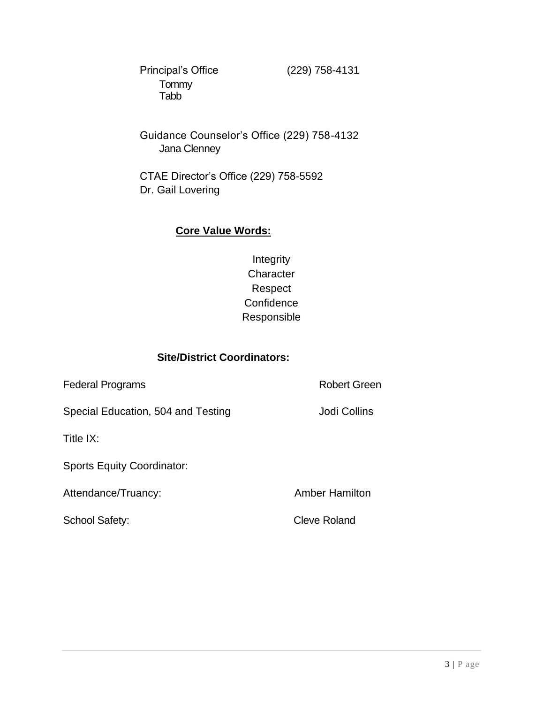Principal's Office (229) 758-4131 **Tommy** Tabb

Guidance Counselor's Office (229) 758-4132 Jana Clenney

CTAE Director's Office (229) 758-5592 Dr. Gail Lovering

# **Core Value Words:**

Integrity **Character** Respect **Confidence** Responsible

# **Site/District Coordinators:**

Federal Programs **Robert Green** Special Education, 504 and Testing **Special Education**, 504 and Testing Title IX: Sports Equity Coordinator: Attendance/Truancy: Attendance/Truancy:

School Safety: Cleve Roland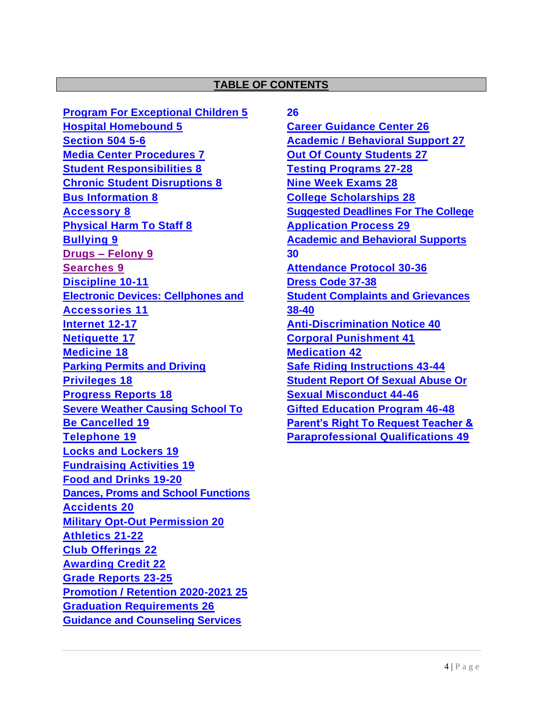### **TABLE OF CONTENTS**

**Program For Exceptional Children 5 Hospital Homebound 5 Section 504 5-6 Media Center Procedures 7 Student Responsibilities 8 Chronic Student Disruptions 8 Bus Information 8 Accessory 8 Physical Harm To Staff 8 Bullying 9 Drugs – Felony 9 Searches 9 Discipline 10-11 Electronic Devices: Cellphones and Accessories 11 Internet 12-17 Netiquette 17 Medicine 18 Parking Permits and Driving Privileges 18 Progress Reports 18 Severe Weather Causing School To Be Cancelled 19 Telephone 19 Locks and Lockers 19 Fundraising Activities 19 Food and Drinks 19-20 Dances, Proms and School Functions Accidents 20 Military Opt-Out Permission 20 Athletics 21-22 Club Offerings 22 Awarding Credit 22 Grade Reports 23-25 Promotion / Retention 2020-2021 25 Graduation Requirements 26 Guidance and Counseling Services** 

**26**

**Career Guidance Center 26 Academic / Behavioral Support 27 Out Of County Students 27 Testing Programs 27-28 Nine Week Exams 28 College Scholarships 28 Suggested Deadlines For The College Application Process 29 Academic and Behavioral Supports 30 Attendance Protocol 30-36 Dress Code 37-38 Student Complaints and Grievances 38-40 Anti-Discrimination Notice 40 Corporal Punishment 41 Medication 42 Safe Riding Instructions 43-44 Student Report Of Sexual Abuse Or Sexual Misconduct 44-46 Gifted Education Program 46-48 Parent's Right To Request Teacher & Paraprofessional Qualifications 49**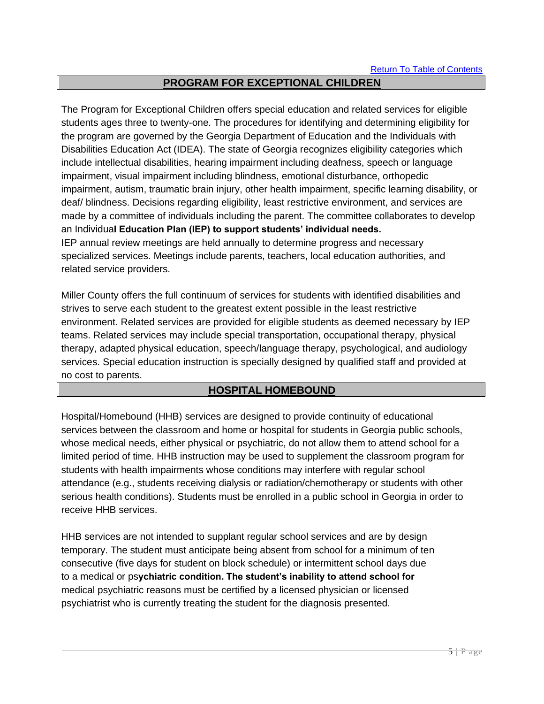# **PROGRAM FOR EXCEPTIONAL CHILDREN**

The Program for Exceptional Children offers special education and related services for eligible students ages three to twenty-one. The procedures for identifying and determining eligibility for the program are governed by the Georgia Department of Education and the Individuals with Disabilities Education Act (IDEA). The state of Georgia recognizes eligibility categories which include intellectual disabilities, hearing impairment including deafness, speech or language impairment, visual impairment including blindness, emotional disturbance, orthopedic impairment, autism, traumatic brain injury, other health impairment, specific learning disability, or deaf/ blindness. Decisions regarding eligibility, least restrictive environment, and services are made by a committee of individuals including the parent. The committee collaborates to develop an Individua**l Education Plan (IEP) to support students' individual needs.** IEP annual review meetings are held annually to determine progress and necessary specialized services. Meetings include parents, teachers, local education authorities, and related service providers.

Miller County offers the full continuum of services for students with identified disabilities and strives to serve each student to the greatest extent possible in the least restrictive environment. Related services are provided for eligible students as deemed necessary by IEP teams. Related services may include special transportation, occupational therapy, physical therapy, adapted physical education, speech/language therapy, psychological, and audiology services. Special education instruction is specially designed by qualified staff and provided at no cost to parents.

# **HOSPITAL HOMEBOUND**

Hospital/Homebound (HHB) services are designed to provide continuity of educational services between the classroom and home or hospital for students in Georgia public schools, whose medical needs, either physical or psychiatric, do not allow them to attend school for a limited period of time. HHB instruction may be used to supplement the classroom program for students with health impairments whose conditions may interfere with regular school attendance (e.g., students receiving dialysis or radiation/chemotherapy or students with other serious health conditions). Students must be enrolled in a public school in Georgia in order to receive HHB services.

HHB services are not intended to supplant regular school services and are by design temporary. The student must anticipate being absent from school for a minimum of ten consecutive (five days for student on block schedule) or intermittent school days due to a medical or ps**ychiatric condition. The student's inability to attend school for**  medical psychiatric reasons must be certified by a licensed physician or licensed psychiatrist who is currently treating the student for the diagnosis presented.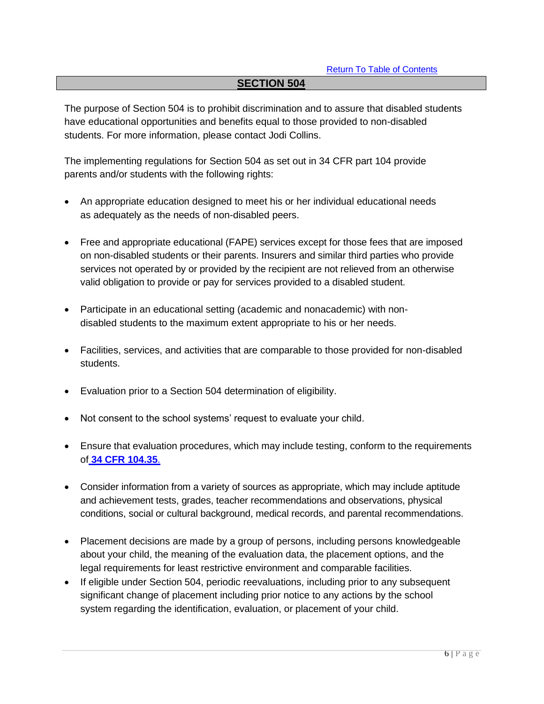### **SECTION 504**

The purpose of Section 504 is to prohibit discrimination and to assure that disabled students have educational opportunities and benefits equal to those provided to non-disabled students. For more information, please contact Jodi Collins.

The implementing regulations for Section 504 as set out in 34 CFR part 104 provide parents and/or students with the following rights:

- An appropriate education designed to meet his or her individual educational needs as adequately as the needs of non-disabled peers.
- Free and appropriate educational (FAPE) services except for those fees that are imposed on non-disabled students or their parents. Insurers and similar third parties who provide services not operated by or provided by the recipient are not relieved from an otherwise valid obligation to provide or pay for services provided to a disabled student.
- Participate in an educational setting (academic and nonacademic) with nondisabled students to the maximum extent appropriate to his or her needs.
- Facilities, services, and activities that are comparable to those provided for non-disabled students.
- Evaluation prior to a Section 504 determination of eligibility.
- Not consent to the school systems' request to evaluate your child.
- Ensure that evaluation procedures, which may include testing, conform to the requirements of **34 CFR 104.35**.
- Consider information from a variety of sources as appropriate, which may include aptitude and achievement tests, grades, teacher recommendations and observations, physical conditions, social or cultural background, medical records, and parental recommendations.
- Placement decisions are made by a group of persons, including persons knowledgeable about your child, the meaning of the evaluation data, the placement options, and the legal requirements for least restrictive environment and comparable facilities.
- If eligible under Section 504, periodic reevaluations, including prior to any subsequent significant change of placement including prior notice to any actions by the school system regarding the identification, evaluation, or placement of your child.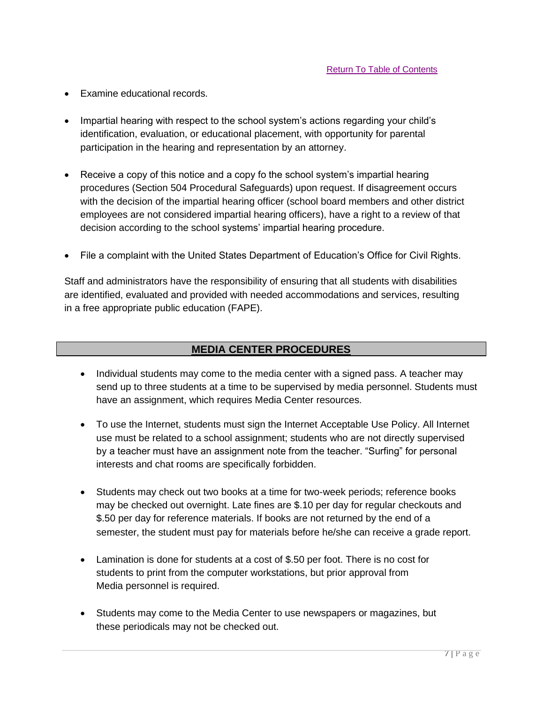- Examine educational records.
- Impartial hearing with respect to the school system's actions regarding your child's identification, evaluation, or educational placement, with opportunity for parental participation in the hearing and representation by an attorney.
- Receive a copy of this notice and a copy fo the school system's impartial hearing procedures (Section 504 Procedural Safeguards) upon request. If disagreement occurs with the decision of the impartial hearing officer (school board members and other district employees are not considered impartial hearing officers), have a right to a review of that decision according to the school systems' impartial hearing procedure.
- File a complaint with the United States Department of Education's Office for Civil Rights.

Staff and administrators have the responsibility of ensuring that all students with disabilities are identified, evaluated and provided with needed accommodations and services, resulting in a free appropriate public education (FAPE).

### **MEDIA CENTER PROCEDURES**

- Individual students may come to the media center with a signed pass. A teacher may send up to three students at a time to be supervised by media personnel. Students must have an assignment, which requires Media Center resources.
- To use the Internet, students must sign the Internet Acceptable Use Policy. All Internet use must be related to a school assignment; students who are not directly supervised by a teacher must have an assignment note from the teacher. "Surfing" for personal interests and chat rooms are specifically forbidden.
- Students may check out two books at a time for two-week periods; reference books may be checked out overnight. Late fines are \$.10 per day for regular checkouts and \$.50 per day for reference materials. If books are not returned by the end of a semester, the student must pay for materials before he/she can receive a grade report.
- Lamination is done for students at a cost of \$.50 per foot. There is no cost for students to print from the computer workstations, but prior approval from Media personnel is required.
- Students may come to the Media Center to use newspapers or magazines, but these periodicals may not be checked out.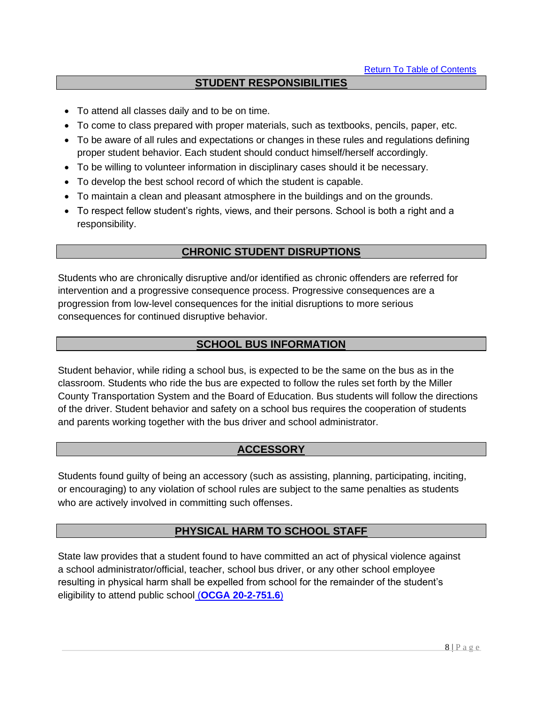# **STUDENT RESPONSIBILITIES**

- To attend all classes daily and to be on time.
- To come to class prepared with proper materials, such as textbooks, pencils, paper, etc.
- To be aware of all rules and expectations or changes in these rules and regulations defining proper student behavior. Each student should conduct himself/herself accordingly.
- To be willing to volunteer information in disciplinary cases should it be necessary.
- To develop the best school record of which the student is capable.
- To maintain a clean and pleasant atmosphere in the buildings and on the grounds.
- To respect fellow student's rights, views, and their persons. School is both a right and a responsibility.

# **CHRONIC STUDENT DISRUPTIONS**

Students who are chronically disruptive and/or identified as chronic offenders are referred for intervention and a progressive consequence process. Progressive consequences are a progression from low-level consequences for the initial disruptions to more serious consequences for continued disruptive behavior.

# **SCHOOL BUS INFORMATION**

Student behavior, while riding a school bus, is expected to be the same on the bus as in the classroom. Students who ride the bus are expected to follow the rules set forth by the Miller County Transportation System and the Board of Education. Bus students will follow the directions of the driver. Student behavior and safety on a school bus requires the cooperation of students and parents working together with the bus driver and school administrator.

# **ACCESSORY**

Students found guilty of being an accessory (such as assisting, planning, participating, inciting, or encouraging) to any violation of school rules are subject to the same penalties as students who are actively involved in committing such offenses.

# **PHYSICAL HARM TO SCHOOL STAFF**

State law provides that a student found to have committed an act of physical violence against a school administrator/official, teacher, school bus driver, or any other school employee resulting in physical harm shall be expelled from school for the remainder of the student's eligibility to attend public school (**OCGA 20-2-751.6**)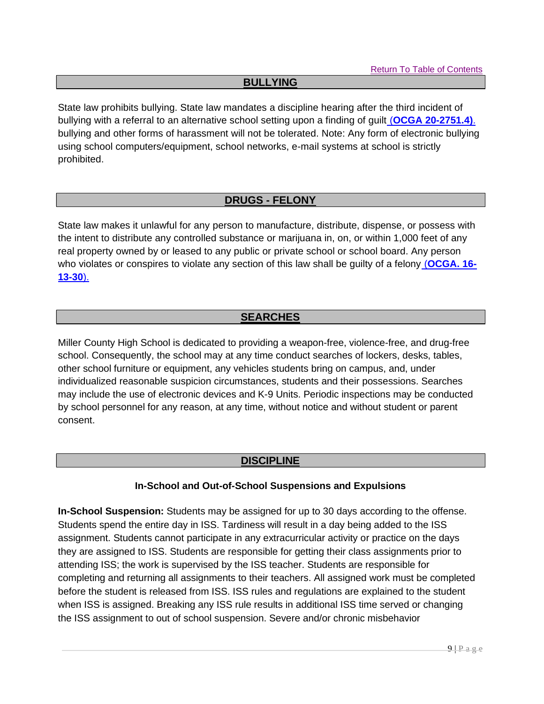### **BULLYING**

State law prohibits bullying. State law mandates a discipline hearing after the third incident of bullying with a referral to an alternative school setting upon a finding of guilt (**OCGA 20-2751.4)**. bullying and other forms of harassment will not be tolerated. Note: Any form of electronic bullying using school computers/equipment, school networks, e-mail systems at school is strictly prohibited.

# **DRUGS - FELONY**

State law makes it unlawful for any person to manufacture, distribute, dispense, or possess with the intent to distribute any controlled substance or marijuana in, on, or within 1,000 feet of any real property owned by or leased to any public or private school or school board. Any person who violates or conspires to violate any section of this law shall be guilty of a felony (**OCGA. 16- 13-30**).

# **SEARCHES**

Miller County High School is dedicated to providing a weapon-free, violence-free, and drug-free school. Consequently, the school may at any time conduct searches of lockers, desks, tables, other school furniture or equipment, any vehicles students bring on campus, and, under individualized reasonable suspicion circumstances, students and their possessions. Searches may include the use of electronic devices and K-9 Units. Periodic inspections may be conducted by school personnel for any reason, at any time, without notice and without student or parent consent.

# **DISCIPLINE**

# **In-School and Out-of-School Suspensions and Expulsions**

**In-School Suspension:** Students may be assigned for up to 30 days according to the offense. Students spend the entire day in ISS. Tardiness will result in a day being added to the ISS assignment. Students cannot participate in any extracurricular activity or practice on the days they are assigned to ISS. Students are responsible for getting their class assignments prior to attending ISS; the work is supervised by the ISS teacher. Students are responsible for completing and returning all assignments to their teachers. All assigned work must be completed before the student is released from ISS. ISS rules and regulations are explained to the student when ISS is assigned. Breaking any ISS rule results in additional ISS time served or changing the ISS assignment to out of school suspension. Severe and/or chronic misbehavior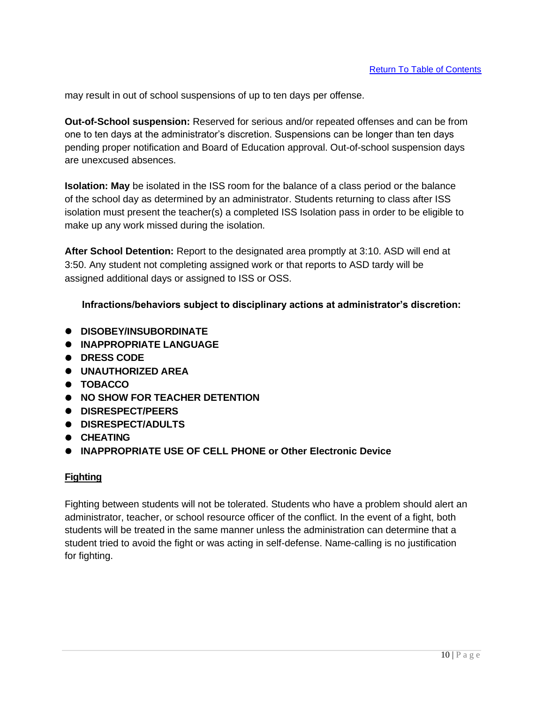may result in out of school suspensions of up to ten days per offense.

**Out-of-School suspension:** Reserved for serious and/or repeated offenses and can be from one to ten days at the administrator's discretion. Suspensions can be longer than ten days pending proper notification and Board of Education approval. Out-of-school suspension days are unexcused absences.

**Isolation: May** be isolated in the ISS room for the balance of a class period or the balance of the school day as determined by an administrator. Students returning to class after ISS isolation must present the teacher(s) a completed ISS Isolation pass in order to be eligible to make up any work missed during the isolation.

**After School Detention:** Report to the designated area promptly at 3:10. ASD will end at 3:50. Any student not completing assigned work or that reports to ASD tardy will be assigned additional days or assigned to ISS or OSS.

**Infractions/behaviors subject to disciplinary actions at administrator's discretion:**

- ⚫ **DISOBEY/INSUBORDINATE**
- ⚫ **INAPPROPRIATE LANGUAGE**
- ⚫ **DRESS CODE**
- ⚫ **UNAUTHORIZED AREA**
- ⚫ **TOBACCO**
- ⚫ **NO SHOW FOR TEACHER DETENTION**
- ⚫ **DISRESPECT/PEERS**
- ⚫ **DISRESPECT/ADULTS**
- ⚫ **CHEATING**
- ⚫ **INAPPROPRIATE USE OF CELL PHONE or Other Electronic Device**

### **Fighting**

Fighting between students will not be tolerated. Students who have a problem should alert an administrator, teacher, or school resource officer of the conflict. In the event of a fight, both students will be treated in the same manner unless the administration can determine that a student tried to avoid the fight or was acting in self-defense. Name-calling is no justification for fighting.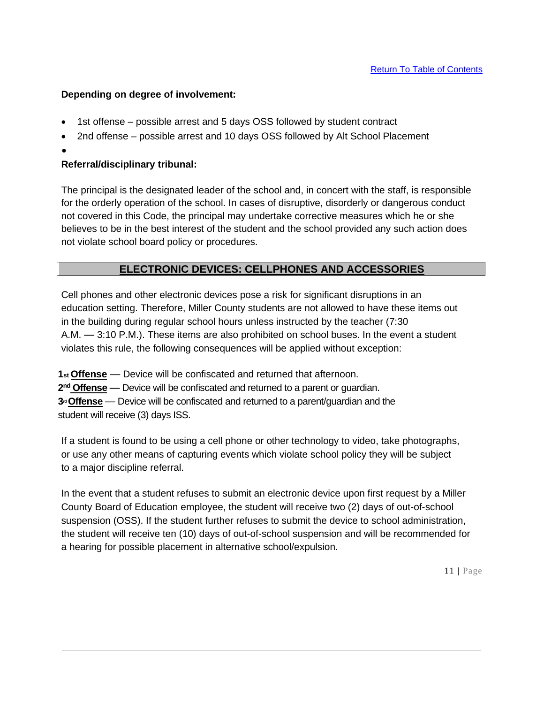### **Depending on degree of involvement:**

- 1st offense possible arrest and 5 days OSS followed by student contract
- 2nd offense possible arrest and 10 days OSS followed by Alt School Placement
- •

# **Referral/disciplinary tribunal:**

The principal is the designated leader of the school and, in concert with the staff, is responsible for the orderly operation of the school. In cases of disruptive, disorderly or dangerous conduct not covered in this Code, the principal may undertake corrective measures which he or she believes to be in the best interest of the student and the school provided any such action does not violate school board policy or procedures.

# **ELECTRONIC DEVICES: CELLPHONES AND ACCESSORIES**

Cell phones and other electronic devices pose a risk for significant disruptions in an education setting. Therefore, Miller County students are not allowed to have these items out in the building during regular school hours unless instructed by the teacher (7:30 A.M. — 3:10 P.M.). These items are also prohibited on school buses. In the event a student violates this rule, the following consequences will be applied without exception:

**1st Offense** — Device will be confiscated and returned that afternoon.

**2 nd Offense** — Device will be confiscated and returned to a parent or guardian.

**3rdOffense** — Device will be confiscated and returned to a parent/guardian and the student will receive (3) days ISS.

If a student is found to be using a cell phone or other technology to video, take photographs, or use any other means of capturing events which violate school policy they will be subject to a major discipline referral.

In the event that a student refuses to submit an electronic device upon first request by a Miller County Board of Education employee, the student will receive two (2) days of out-of-school suspension (OSS). If the student further refuses to submit the device to school administration, the student will receive ten (10) days of out-of-school suspension and will be recommended for a hearing for possible placement in alternative school/expulsion.

11 | Page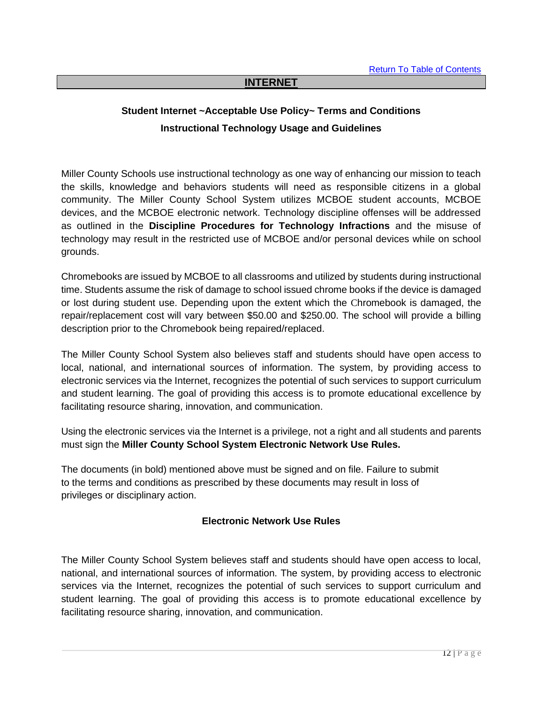### **INTERNET**

# **Student Internet ~Acceptable Use Policy~ Terms and Conditions Instructional Technology Usage and Guidelines**

Miller County Schools use instructional technology as one way of enhancing our mission to teach the skills, knowledge and behaviors students will need as responsible citizens in a global community. The Miller County School System utilizes MCBOE student accounts, MCBOE devices, and the MCBOE electronic network. Technology discipline offenses will be addressed as outlined in the **Discipline Procedures for Technology Infractions** and the misuse of technology may result in the restricted use of MCBOE and/or personal devices while on school grounds.

Chromebooks are issued by MCBOE to all classrooms and utilized by students during instructional time. Students assume the risk of damage to school issued chrome books if the device is damaged or lost during student use. Depending upon the extent which the Chromebook is damaged, the repair/replacement cost will vary between \$50.00 and \$250.00. The school will provide a billing description prior to the Chromebook being repaired/replaced.

The Miller County School System also believes staff and students should have open access to local, national, and international sources of information. The system, by providing access to electronic services via the Internet, recognizes the potential of such services to support curriculum and student learning. The goal of providing this access is to promote educational excellence by facilitating resource sharing, innovation, and communication.

Using the electronic services via the Internet is a privilege, not a right and all students and parents must sign the **Miller County School System Electronic Network Use Rules.**

The documents (in bold) mentioned above must be signed and on file. Failure to submit to the terms and conditions as prescribed by these documents may result in loss of privileges or disciplinary action.

### **Electronic Network Use Rules**

The Miller County School System believes staff and students should have open access to local, national, and international sources of information. The system, by providing access to electronic services via the Internet, recognizes the potential of such services to support curriculum and student learning. The goal of providing this access is to promote educational excellence by facilitating resource sharing, innovation, and communication.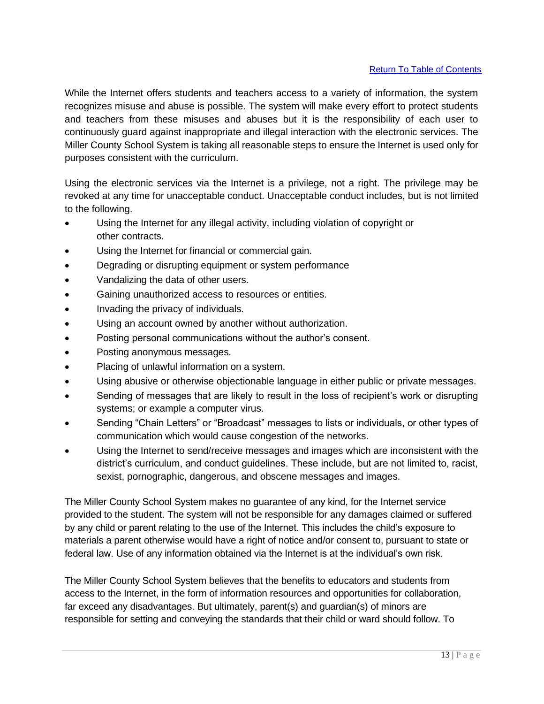While the Internet offers students and teachers access to a variety of information, the system recognizes misuse and abuse is possible. The system will make every effort to protect students and teachers from these misuses and abuses but it is the responsibility of each user to continuously guard against inappropriate and illegal interaction with the electronic services. The Miller County School System is taking all reasonable steps to ensure the Internet is used only for purposes consistent with the curriculum.

Using the electronic services via the Internet is a privilege, not a right. The privilege may be revoked at any time for unacceptable conduct. Unacceptable conduct includes, but is not limited to the following.

- Using the Internet for any illegal activity, including violation of copyright or other contracts.
- Using the Internet for financial or commercial gain.
- Degrading or disrupting equipment or system performance
- Vandalizing the data of other users.
- Gaining unauthorized access to resources or entities.
- Invading the privacy of individuals.
- Using an account owned by another without authorization.
- Posting personal communications without the author's consent.
- Posting anonymous messages.
- Placing of unlawful information on a system.
- Using abusive or otherwise objectionable language in either public or private messages.
- Sending of messages that are likely to result in the loss of recipient's work or disrupting systems; or example a computer virus.
- Sending "Chain Letters" or "Broadcast" messages to lists or individuals, or other types of communication which would cause congestion of the networks.
- Using the Internet to send/receive messages and images which are inconsistent with the district's curriculum, and conduct guidelines. These include, but are not limited to, racist, sexist, pornographic, dangerous, and obscene messages and images.

The Miller County School System makes no guarantee of any kind, for the Internet service provided to the student. The system will not be responsible for any damages claimed or suffered by any child or parent relating to the use of the Internet. This includes the child's exposure to materials a parent otherwise would have a right of notice and/or consent to, pursuant to state or federal law. Use of any information obtained via the Internet is at the individual's own risk.

The Miller County School System believes that the benefits to educators and students from access to the Internet, in the form of information resources and opportunities for collaboration, far exceed any disadvantages. But ultimately, parent(s) and guardian(s) of minors are responsible for setting and conveying the standards that their child or ward should follow. To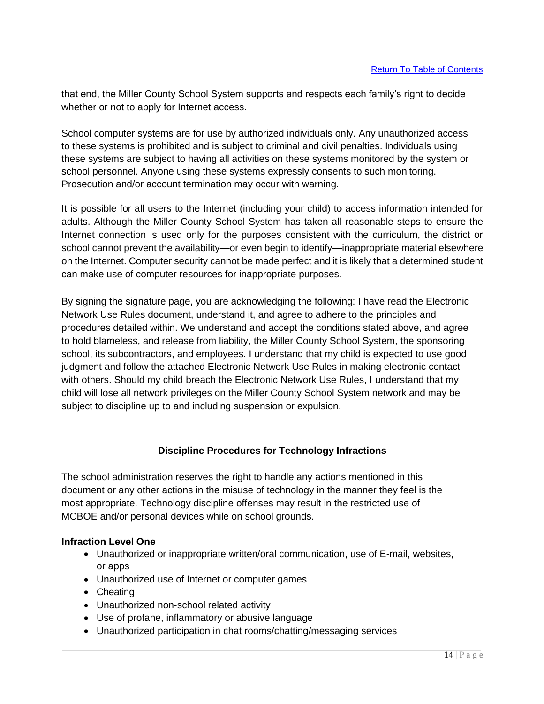that end, the Miller County School System supports and respects each family's right to decide whether or not to apply for Internet access.

School computer systems are for use by authorized individuals only. Any unauthorized access to these systems is prohibited and is subject to criminal and civil penalties. Individuals using these systems are subject to having all activities on these systems monitored by the system or school personnel. Anyone using these systems expressly consents to such monitoring. Prosecution and/or account termination may occur with warning.

It is possible for all users to the Internet (including your child) to access information intended for adults. Although the Miller County School System has taken all reasonable steps to ensure the Internet connection is used only for the purposes consistent with the curriculum, the district or school cannot prevent the availability—or even begin to identify—inappropriate material elsewhere on the Internet. Computer security cannot be made perfect and it is likely that a determined student can make use of computer resources for inappropriate purposes.

By signing the signature page, you are acknowledging the following: I have read the Electronic Network Use Rules document, understand it, and agree to adhere to the principles and procedures detailed within. We understand and accept the conditions stated above, and agree to hold blameless, and release from liability, the Miller County School System, the sponsoring school, its subcontractors, and employees. I understand that my child is expected to use good judgment and follow the attached Electronic Network Use Rules in making electronic contact with others. Should my child breach the Electronic Network Use Rules, I understand that my child will lose all network privileges on the Miller County School System network and may be subject to discipline up to and including suspension or expulsion.

# **Discipline Procedures for Technology Infractions**

The school administration reserves the right to handle any actions mentioned in this document or any other actions in the misuse of technology in the manner they feel is the most appropriate. Technology discipline offenses may result in the restricted use of MCBOE and/or personal devices while on school grounds.

### **Infraction Level One**

- Unauthorized or inappropriate written/oral communication, use of E-mail, websites, or apps
- Unauthorized use of Internet or computer games
- Cheating
- Unauthorized non-school related activity
- Use of profane, inflammatory or abusive language
- Unauthorized participation in chat rooms/chatting/messaging services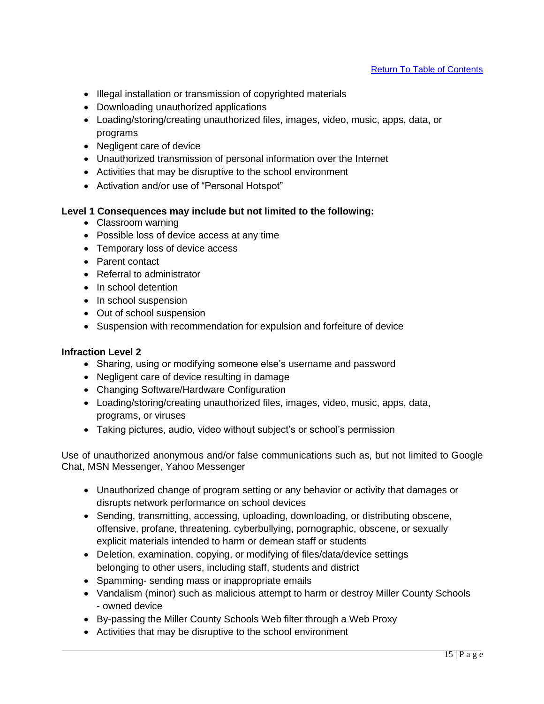- Illegal installation or transmission of copyrighted materials
- Downloading unauthorized applications
- Loading/storing/creating unauthorized files, images, video, music, apps, data, or programs
- Negligent care of device
- Unauthorized transmission of personal information over the Internet
- Activities that may be disruptive to the school environment
- Activation and/or use of "Personal Hotspot"

#### **Level 1 Consequences may include but not limited to the following:**

- Classroom warning
- Possible loss of device access at any time
- Temporary loss of device access
- Parent contact
- Referral to administrator
- In school detention
- In school suspension
- Out of school suspension
- Suspension with recommendation for expulsion and forfeiture of device

### **Infraction Level 2**

- Sharing, using or modifying someone else's username and password
- Negligent care of device resulting in damage
- Changing Software/Hardware Configuration
- Loading/storing/creating unauthorized files, images, video, music, apps, data, programs, or viruses
- Taking pictures, audio, video without subject's or school's permission

Use of unauthorized anonymous and/or false communications such as, but not limited to Google Chat, MSN Messenger, Yahoo Messenger

- Unauthorized change of program setting or any behavior or activity that damages or disrupts network performance on school devices
- Sending, transmitting, accessing, uploading, downloading, or distributing obscene, offensive, profane, threatening, cyberbullying, pornographic, obscene, or sexually explicit materials intended to harm or demean staff or students
- Deletion, examination, copying, or modifying of files/data/device settings belonging to other users, including staff, students and district
- Spamming- sending mass or inappropriate emails
- Vandalism (minor) such as malicious attempt to harm or destroy Miller County Schools - owned device
- By-passing the Miller County Schools Web filter through a Web Proxy
- Activities that may be disruptive to the school environment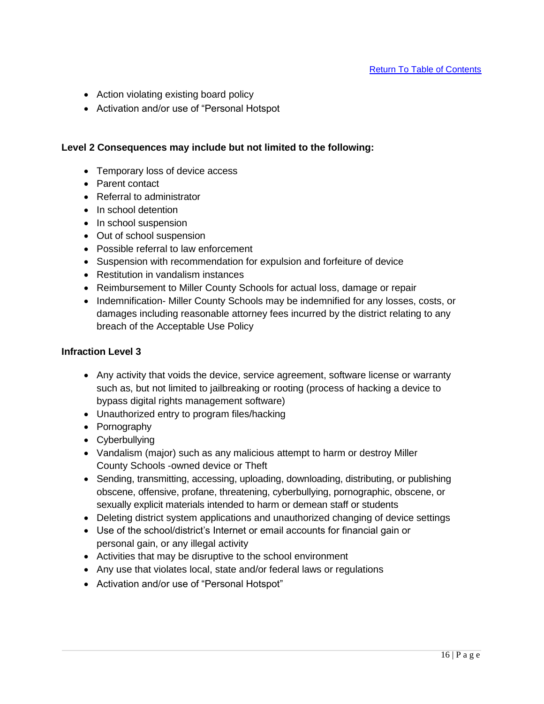- Action violating existing board policy
- Activation and/or use of "Personal Hotspot

### **Level 2 Consequences may include but not limited to the following:**

- Temporary loss of device access
- Parent contact
- Referral to administrator
- In school detention
- In school suspension
- Out of school suspension
- Possible referral to law enforcement
- Suspension with recommendation for expulsion and forfeiture of device
- Restitution in vandalism instances
- Reimbursement to Miller County Schools for actual loss, damage or repair
- Indemnification- Miller County Schools may be indemnified for any losses, costs, or damages including reasonable attorney fees incurred by the district relating to any breach of the Acceptable Use Policy

### **Infraction Level 3**

- Any activity that voids the device, service agreement, software license or warranty such as, but not limited to jailbreaking or rooting (process of hacking a device to bypass digital rights management software)
- Unauthorized entry to program files/hacking
- Pornography
- Cyberbullying
- Vandalism (major) such as any malicious attempt to harm or destroy Miller County Schools -owned device or Theft
- Sending, transmitting, accessing, uploading, downloading, distributing, or publishing obscene, offensive, profane, threatening, cyberbullying, pornographic, obscene, or sexually explicit materials intended to harm or demean staff or students
- Deleting district system applications and unauthorized changing of device settings
- Use of the school/district's Internet or email accounts for financial gain or personal gain, or any illegal activity
- Activities that may be disruptive to the school environment
- Any use that violates local, state and/or federal laws or regulations
- Activation and/or use of "Personal Hotspot"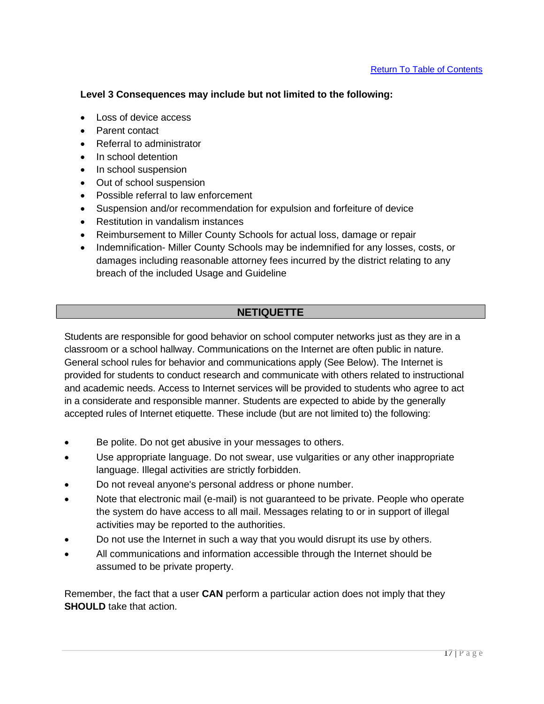### **Level 3 Consequences may include but not limited to the following:**

- Loss of device access
- Parent contact
- Referral to administrator
- In school detention
- In school suspension
- Out of school suspension
- Possible referral to law enforcement
- Suspension and/or recommendation for expulsion and forfeiture of device
- Restitution in vandalism instances
- Reimbursement to Miller County Schools for actual loss, damage or repair
- Indemnification- Miller County Schools may be indemnified for any losses, costs, or damages including reasonable attorney fees incurred by the district relating to any breach of the included Usage and Guideline

# **NETIQUETTE**

Students are responsible for good behavior on school computer networks just as they are in a classroom or a school hallway. Communications on the Internet are often public in nature. General school rules for behavior and communications apply (See Below). The Internet is provided for students to conduct research and communicate with others related to instructional and academic needs. Access to Internet services will be provided to students who agree to act in a considerate and responsible manner. Students are expected to abide by the generally accepted rules of Internet etiquette. These include (but are not limited to) the following:

- Be polite. Do not get abusive in your messages to others.
- Use appropriate language. Do not swear, use vulgarities or any other inappropriate language. Illegal activities are strictly forbidden.
- Do not reveal anyone's personal address or phone number.
- Note that electronic mail (e-mail) is not guaranteed to be private. People who operate the system do have access to all mail. Messages relating to or in support of illegal activities may be reported to the authorities.
- Do not use the Internet in such a way that you would disrupt its use by others.
- All communications and information accessible through the Internet should be assumed to be private property.

Remember, the fact that a user **CAN** perform a particular action does not imply that they **SHOULD** take that action.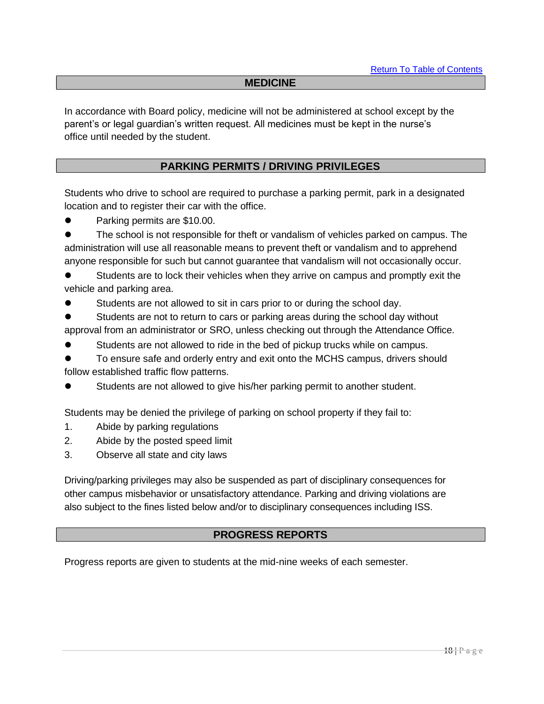### **MEDICINE**

In accordance with Board policy, medicine will not be administered at school except by the parent's or legal guardian's written request. All medicines must be kept in the nurse's office until needed by the student.

## **PARKING PERMITS / DRIVING PRIVILEGES**

Students who drive to school are required to purchase a parking permit, park in a designated location and to register their car with the office.

● Parking permits are \$10.00.

⚫ The school is not responsible for theft or vandalism of vehicles parked on campus. The administration will use all reasonable means to prevent theft or vandalism and to apprehend anyone responsible for such but cannot guarantee that vandalism will not occasionally occur.

⚫ Students are to lock their vehicles when they arrive on campus and promptly exit the vehicle and parking area.

Students are not allowed to sit in cars prior to or during the school day.

⚫ Students are not to return to cars or parking areas during the school day without approval from an administrator or SRO, unless checking out through the Attendance Office.

⚫ Students are not allowed to ride in the bed of pickup trucks while on campus.

⚫ To ensure safe and orderly entry and exit onto the MCHS campus, drivers should follow established traffic flow patterns.

Students are not allowed to give his/her parking permit to another student.

Students may be denied the privilege of parking on school property if they fail to:

- 1. Abide by parking regulations
- 2. Abide by the posted speed limit
- 3. Observe all state and city laws

Driving/parking privileges may also be suspended as part of disciplinary consequences for other campus misbehavior or unsatisfactory attendance. Parking and driving violations are also subject to the fines listed below and/or to disciplinary consequences including ISS.

# **PROGRESS REPORTS**

Progress reports are given to students at the mid-nine weeks of each semester.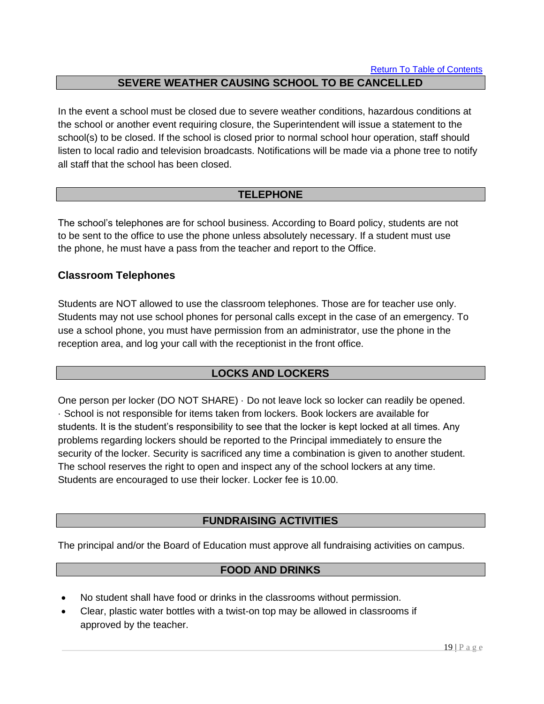# **SEVERE WEATHER CAUSING SCHOOL TO BE CANCELLED**

In the event a school must be closed due to severe weather conditions, hazardous conditions at the school or another event requiring closure, the Superintendent will issue a statement to the school(s) to be closed. If the school is closed prior to normal school hour operation, staff should listen to local radio and television broadcasts. Notifications will be made via a phone tree to notify all staff that the school has been closed.

# **TELEPHONE**

The school's telephones are for school business. According to Board policy, students are not to be sent to the office to use the phone unless absolutely necessary. If a student must use the phone, he must have a pass from the teacher and report to the Office.

# **Classroom Telephones**

Students are NOT allowed to use the classroom telephones. Those are for teacher use only. Students may not use school phones for personal calls except in the case of an emergency. To use a school phone, you must have permission from an administrator, use the phone in the reception area, and log your call with the receptionist in the front office.

# **LOCKS AND LOCKERS**

One person per locker (DO NOT SHARE) · Do not leave lock so locker can readily be opened. · School is not responsible for items taken from lockers. Book lockers are available for students. It is the student's responsibility to see that the locker is kept locked at all times. Any problems regarding lockers should be reported to the Principal immediately to ensure the security of the locker. Security is sacrificed any time a combination is given to another student. The school reserves the right to open and inspect any of the school lockers at any time. Students are encouraged to use their locker. Locker fee is 10.00.

# **FUNDRAISING ACTIVITIES**

The principal and/or the Board of Education must approve all fundraising activities on campus.

# **FOOD AND DRINKS**

- No student shall have food or drinks in the classrooms without permission.
- Clear, plastic water bottles with a twist-on top may be allowed in classrooms if approved by the teacher.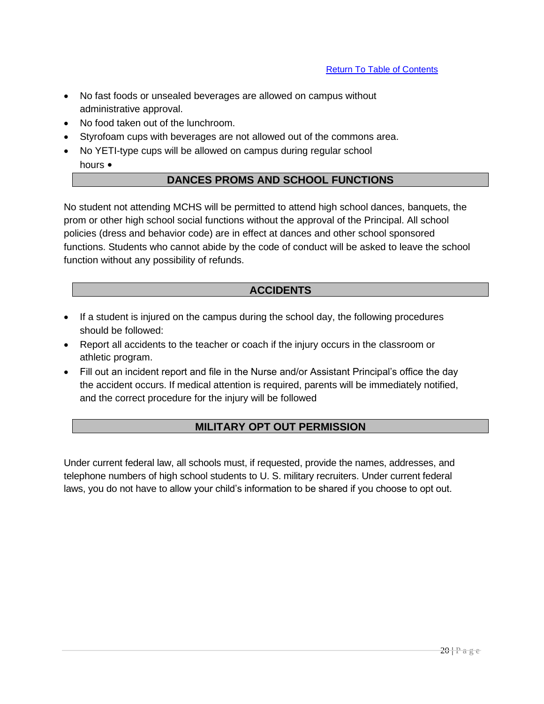- No fast foods or unsealed beverages are allowed on campus without administrative approval.
- No food taken out of the lunchroom.
- Styrofoam cups with beverages are not allowed out of the commons area.
- No YETI-type cups will be allowed on campus during regular school hours •

### **DANCES PROMS AND SCHOOL FUNCTIONS**

No student not attending MCHS will be permitted to attend high school dances, banquets, the prom or other high school social functions without the approval of the Principal. All school policies (dress and behavior code) are in effect at dances and other school sponsored functions. Students who cannot abide by the code of conduct will be asked to leave the school function without any possibility of refunds.

### **ACCIDENTS**

- If a student is injured on the campus during the school day, the following procedures should be followed:
- Report all accidents to the teacher or coach if the injury occurs in the classroom or athletic program.
- Fill out an incident report and file in the Nurse and/or Assistant Principal's office the day the accident occurs. If medical attention is required, parents will be immediately notified, and the correct procedure for the injury will be followed

# **MILITARY OPT OUT PERMISSION**

Under current federal law, all schools must, if requested, provide the names, addresses, and telephone numbers of high school students to U. S. military recruiters. Under current federal laws, you do not have to allow your child's information to be shared if you choose to opt out.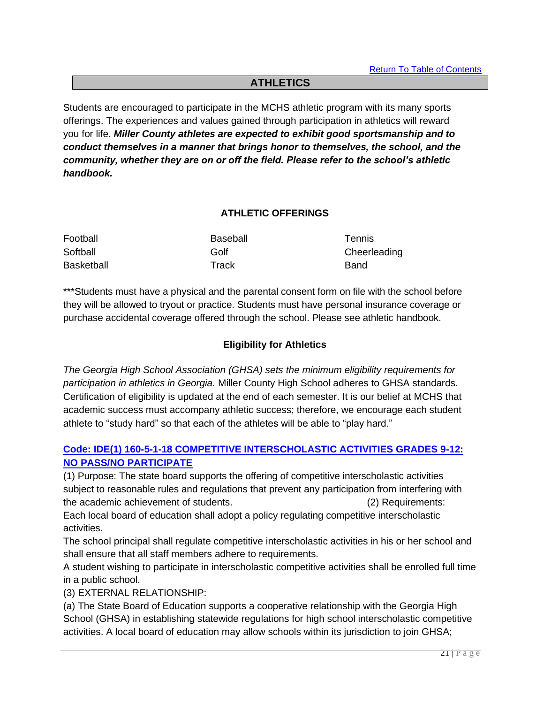# **ATHLETICS**

Students are encouraged to participate in the MCHS athletic program with its many sports offerings. The experiences and values gained through participation in athletics will reward you for life. *Miller County athletes are expected to exhibit good sportsmanship and to conduct themselves in a manner that brings honor to themselves, the school, and the community, whether they are on or off the field. Please refer to the school's athletic handbook.*

### **ATHLETIC OFFERINGS**

| Football          | Baseball | <b>Tennis</b> |
|-------------------|----------|---------------|
| Softball          | Golf     | Cheerleading  |
| <b>Basketball</b> | Track    | <b>Band</b>   |

\*\*\*Students must have a physical and the parental consent form on file with the school before they will be allowed to tryout or practice. Students must have personal insurance coverage or purchase accidental coverage offered through the school. Please see athletic handbook.

### **Eligibility for Athletics**

*The Georgia High School Association (GHSA) sets the minimum eligibility requirements for participation in athletics in Georgia.* Miller County High School adheres to GHSA standards. Certification of eligibility is updated at the end of each semester. It is our belief at MCHS that academic success must accompany athletic success; therefore, we encourage each student athlete to "study hard" so that each of the athletes will be able to "play hard."

# **Code: IDE(1) 160-5-1-18 COMPETITIVE INTERSCHOLASTIC ACTIVITIES GRADES 9-12: NO PASS/NO PARTICIPATE**

(1) Purpose: The state board supports the offering of competitive interscholastic activities subject to reasonable rules and regulations that prevent any participation from interfering with the academic achievement of students. (2) Requirements:

Each local board of education shall adopt a policy regulating competitive interscholastic activities.

The school principal shall regulate competitive interscholastic activities in his or her school and shall ensure that all staff members adhere to requirements.

A student wishing to participate in interscholastic competitive activities shall be enrolled full time in a public school.

(3) EXTERNAL RELATIONSHIP:

(a) The State Board of Education supports a cooperative relationship with the Georgia High School (GHSA) in establishing statewide regulations for high school interscholastic competitive activities. A local board of education may allow schools within its jurisdiction to join GHSA;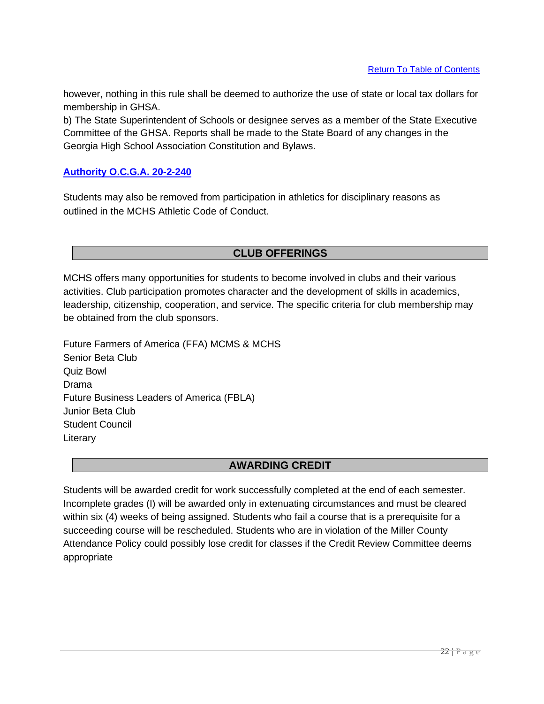however, nothing in this rule shall be deemed to authorize the use of state or local tax dollars for membership in GHSA.

b) The State Superintendent of Schools or designee serves as a member of the State Executive Committee of the GHSA. Reports shall be made to the State Board of any changes in the Georgia High School Association Constitution and Bylaws.

### **Authority O.C.G.A. 20-2-240**

Students may also be removed from participation in athletics for disciplinary reasons as outlined in the MCHS Athletic Code of Conduct.

# **CLUB OFFERINGS**

MCHS offers many opportunities for students to become involved in clubs and their various activities. Club participation promotes character and the development of skills in academics, leadership, citizenship, cooperation, and service. The specific criteria for club membership may be obtained from the club sponsors.

Future Farmers of America (FFA) MCMS & MCHS Senior Beta Club Quiz Bowl Drama Future Business Leaders of America (FBLA) Junior Beta Club Student Council Literary

# **AWARDING CREDIT**

Students will be awarded credit for work successfully completed at the end of each semester. Incomplete grades (I) will be awarded only in extenuating circumstances and must be cleared within six (4) weeks of being assigned. Students who fail a course that is a prerequisite for a succeeding course will be rescheduled. Students who are in violation of the Miller County Attendance Policy could possibly lose credit for classes if the Credit Review Committee deems appropriate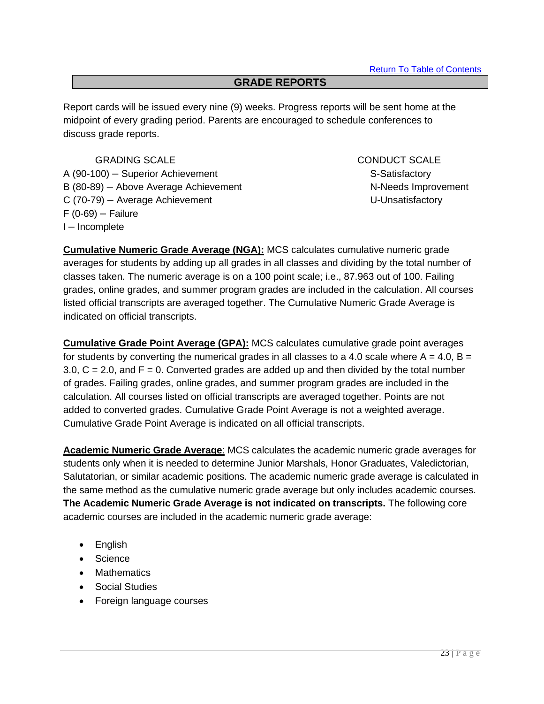### **GRADE REPORTS**

Report cards will be issued every nine (9) weeks. Progress reports will be sent home at the midpoint of every grading period. Parents are encouraged to schedule conferences to discuss grade reports.

GRADING SCALE CONDUCT SCALE A (90-100) – Superior Achievement S-Satisfactory B (80-89) – Above Average Achievement N-Needs Improvement C (70-79) – Average Achievement U-Unsatisfactory  $F(0-69)$  – Failure I – Incomplete

**Cumulative Numeric Grade Average (NGA):** MCS calculates cumulative numeric grade averages for students by adding up all grades in all classes and dividing by the total number of classes taken. The numeric average is on a 100 point scale; i.e., 87.963 out of 100. Failing grades, online grades, and summer program grades are included in the calculation. All courses listed official transcripts are averaged together. The Cumulative Numeric Grade Average is indicated on official transcripts.

**Cumulative Grade Point Average (GPA):** MCS calculates cumulative grade point averages for students by converting the numerical grades in all classes to a 4.0 scale where  $A = 4.0$ ,  $B =$  $3.0, C = 2.0$ , and  $F = 0$ . Converted grades are added up and then divided by the total number of grades. Failing grades, online grades, and summer program grades are included in the calculation. All courses listed on official transcripts are averaged together. Points are not added to converted grades. Cumulative Grade Point Average is not a weighted average. Cumulative Grade Point Average is indicated on all official transcripts.

**Academic Numeric Grade Average**: MCS calculates the academic numeric grade averages for students only when it is needed to determine Junior Marshals, Honor Graduates, Valedictorian, Salutatorian, or similar academic positions. The academic numeric grade average is calculated in the same method as the cumulative numeric grade average but only includes academic courses. **The Academic Numeric Grade Average is not indicated on transcripts.** The following core academic courses are included in the academic numeric grade average:

- English
- Science
- Mathematics
- Social Studies
- Foreign language courses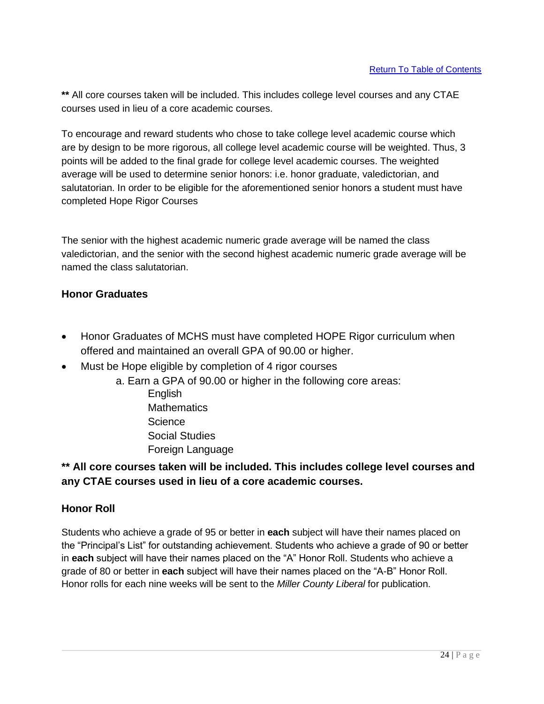**\*\*** All core courses taken will be included. This includes college level courses and any CTAE courses used in lieu of a core academic courses.

To encourage and reward students who chose to take college level academic course which are by design to be more rigorous, all college level academic course will be weighted. Thus, 3 points will be added to the final grade for college level academic courses. The weighted average will be used to determine senior honors: i.e. honor graduate, valedictorian, and salutatorian. In order to be eligible for the aforementioned senior honors a student must have completed Hope Rigor Courses

The senior with the highest academic numeric grade average will be named the class valedictorian, and the senior with the second highest academic numeric grade average will be named the class salutatorian.

# **Honor Graduates**

- Honor Graduates of MCHS must have completed HOPE Rigor curriculum when offered and maintained an overall GPA of 90.00 or higher.
- Must be Hope eligible by completion of 4 rigor courses
	- a. Earn a GPA of 90.00 or higher in the following core areas:
		- English **Mathematics Science** Social Studies Foreign Language

# **\*\* All core courses taken will be included. This includes college level courses and any CTAE courses used in lieu of a core academic courses.**

# **Honor Roll**

Students who achieve a grade of 95 or better in **each** subject will have their names placed on the "Principal's List" for outstanding achievement. Students who achieve a grade of 90 or better in **each** subject will have their names placed on the "A" Honor Roll. Students who achieve a grade of 80 or better in **each** subject will have their names placed on the "A-B" Honor Roll. Honor rolls for each nine weeks will be sent to the *Miller County Liberal* for publication.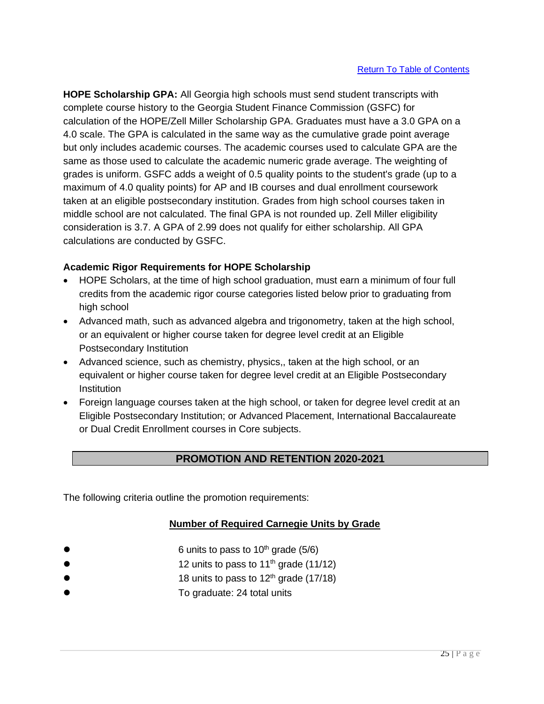**HOPE Scholarship GPA:** All Georgia high schools must send student transcripts with complete course history to the Georgia Student Finance Commission (GSFC) for calculation of the HOPE/Zell Miller Scholarship GPA. Graduates must have a 3.0 GPA on a 4.0 scale. The GPA is calculated in the same way as the cumulative grade point average but only includes academic courses. The academic courses used to calculate GPA are the same as those used to calculate the academic numeric grade average. The weighting of grades is uniform. GSFC adds a weight of 0.5 quality points to the student's grade (up to a maximum of 4.0 quality points) for AP and IB courses and dual enrollment coursework taken at an eligible postsecondary institution. Grades from high school courses taken in middle school are not calculated. The final GPA is not rounded up. Zell Miller eligibility consideration is 3.7. A GPA of 2.99 does not qualify for either scholarship. All GPA calculations are conducted by GSFC.

# **Academic Rigor Requirements for HOPE Scholarship**

- HOPE Scholars, at the time of high school graduation, must earn a minimum of four full credits from the academic rigor course categories listed below prior to graduating from high school
- Advanced math, such as advanced algebra and trigonometry, taken at the high school, or an equivalent or higher course taken for degree level credit at an Eligible Postsecondary Institution
- Advanced science, such as chemistry, physics,, taken at the high school, or an equivalent or higher course taken for degree level credit at an Eligible Postsecondary **Institution**
- Foreign language courses taken at the high school, or taken for degree level credit at an Eligible Postsecondary Institution; or Advanced Placement, International Baccalaureate or Dual Credit Enrollment courses in Core subjects.

# **PROMOTION AND RETENTION 2020-2021**

The following criteria outline the promotion requirements:

# **Number of Required Carnegie Units by Grade**

- 6 units to pass to  $10^{th}$  grade (5/6)
- 12 units to pass to  $11<sup>th</sup>$  grade (11/12)
	- 18 units to pass to  $12<sup>th</sup>$  grade (17/18)
- ⚫ To graduate: 24 total units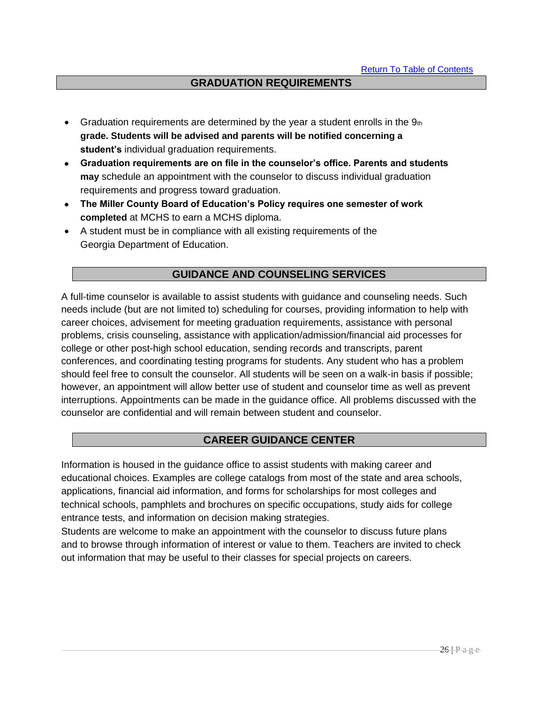## **GRADUATION REQUIREMENTS**

- Graduation requirements are determined by the year a student enrolls in the  $9<sub>th</sub>$ **grade. Students will be advised and parents will be notified concerning a student's** individual graduation requirements.
- **Graduation requirements are on file in the counselor's office. Parents and students may** schedule an appointment with the counselor to discuss individual graduation requirements and progress toward graduation.
- **The Miller County Board of Education's Policy requires one semester of work completed** at MCHS to earn a MCHS diploma.
- A student must be in compliance with all existing requirements of the Georgia Department of Education.

### **GUIDANCE AND COUNSELING SERVICES**

A full-time counselor is available to assist students with guidance and counseling needs. Such needs include (but are not limited to) scheduling for courses, providing information to help with career choices, advisement for meeting graduation requirements, assistance with personal problems, crisis counseling, assistance with application/admission/financial aid processes for college or other post-high school education, sending records and transcripts, parent conferences, and coordinating testing programs for students. Any student who has a problem should feel free to consult the counselor. All students will be seen on a walk-in basis if possible; however, an appointment will allow better use of student and counselor time as well as prevent interruptions. Appointments can be made in the guidance office. All problems discussed with the counselor are confidential and will remain between student and counselor.

### **CAREER GUIDANCE CENTER**

Information is housed in the guidance office to assist students with making career and educational choices. Examples are college catalogs from most of the state and area schools, applications, financial aid information, and forms for scholarships for most colleges and technical schools, pamphlets and brochures on specific occupations, study aids for college entrance tests, and information on decision making strategies.

Students are welcome to make an appointment with the counselor to discuss future plans and to browse through information of interest or value to them. Teachers are invited to check out information that may be useful to their classes for special projects on careers.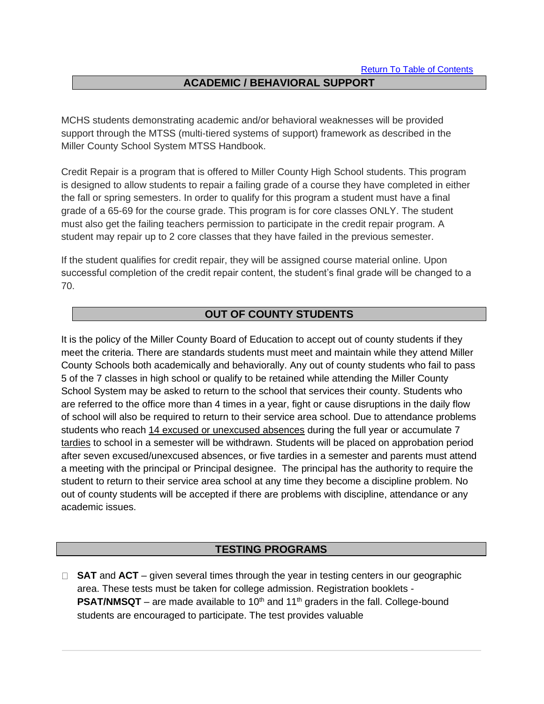# **ACADEMIC / BEHAVIORAL SUPPORT**

MCHS students demonstrating academic and/or behavioral weaknesses will be provided support through the MTSS (multi-tiered systems of support) framework as described in the Miller County School System MTSS Handbook.

Credit Repair is a program that is offered to Miller County High School students. This program is designed to allow students to repair a failing grade of a course they have completed in either the fall or spring semesters. In order to qualify for this program a student must have a final grade of a 65-69 for the course grade. This program is for core classes ONLY. The student must also get the failing teachers permission to participate in the credit repair program. A student may repair up to 2 core classes that they have failed in the previous semester.

If the student qualifies for credit repair, they will be assigned course material online. Upon successful completion of the credit repair content, the student's final grade will be changed to a 70.

### **OUT OF COUNTY STUDENTS**

It is the policy of the Miller County Board of Education to accept out of county students if they meet the criteria. There are standards students must meet and maintain while they attend Miller County Schools both academically and behaviorally. Any out of county students who fail to pass 5 of the 7 classes in high school or qualify to be retained while attending the Miller County School System may be asked to return to the school that services their county. Students who are referred to the office more than 4 times in a year, fight or cause disruptions in the daily flow of school will also be required to return to their service area school. Due to attendance problems students who reach 14 excused or unexcused absences during the full year or accumulate 7 tardies to school in a semester will be withdrawn. Students will be placed on approbation period after seven excused/unexcused absences, or five tardies in a semester and parents must attend a meeting with the principal or Principal designee. The principal has the authority to require the student to return to their service area school at any time they become a discipline problem. No out of county students will be accepted if there are problems with discipline, attendance or any academic issues.

## **TESTING PROGRAMS**

□ **SAT** and **ACT** – given several times through the year in testing centers in our geographic area. These tests must be taken for college admission. Registration booklets - **PSAT/NMSQT** – are made available to 10<sup>th</sup> and 11<sup>th</sup> graders in the fall. College-bound students are encouraged to participate. The test provides valuable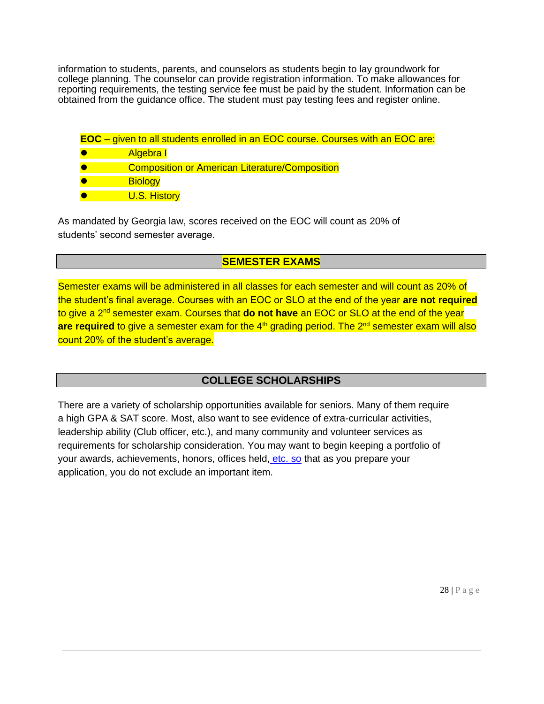information to students, parents, and counselors as students begin to lay groundwork for college planning. The counselor can provide registration information. To make allowances for reporting requirements, the testing service fee must be paid by the student. Information can be obtained from the guidance office. The student must pay testing fees and register online.

- **EOC**  given to all students enrolled in an EOC course. Courses with an EOC are:
- Algebra I
- **Composition or American Literature/Composition**
- **Biology**
- U.S. History

As mandated by Georgia law, scores received on the EOC will count as 20% of students' second semester average.

# **SEMESTER EXAMS**

Semester exams will be administered in all classes for each semester and will count as 20% of the student's final average. Courses with an EOC or SLO at the end of the year **are not required**  to give a 2<sup>nd</sup> semester exam. Courses that **do not have** an EOC or SLO at the end of the year are required to give a semester exam for the 4<sup>th</sup> grading period. The 2<sup>nd</sup> semester exam will also count 20% of the student's average.

# **COLLEGE SCHOLARSHIPS**

There are a variety of scholarship opportunities available for seniors. Many of them require a high GPA & SAT score. Most, also want to see evidence of extra-curricular activities, leadership ability (Club officer, etc.), and many community and volunteer services as requirements for scholarship consideration. You may want to begin keeping a portfolio of your awards, achievements, honors, offices held, [etc. so](http://etc.so/) that as you prepare your application, you do not exclude an important item.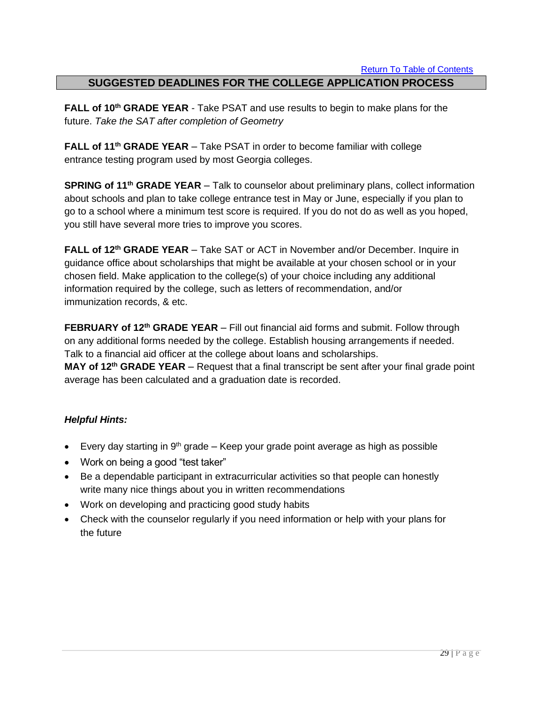## **SUGGESTED DEADLINES FOR THE COLLEGE APPLICATION PROCESS**

**FALL of 10th GRADE YEAR** - Take PSAT and use results to begin to make plans for the future. *Take the SAT after completion of Geometry*

**FALL of 11th GRADE YEAR** – Take PSAT in order to become familiar with college entrance testing program used by most Georgia colleges.

**SPRING of 11th GRADE YEAR** – Talk to counselor about preliminary plans, collect information about schools and plan to take college entrance test in May or June, especially if you plan to go to a school where a minimum test score is required. If you do not do as well as you hoped, you still have several more tries to improve you scores.

**FALL of 12th GRADE YEAR** – Take SAT or ACT in November and/or December. Inquire in guidance office about scholarships that might be available at your chosen school or in your chosen field. Make application to the college(s) of your choice including any additional information required by the college, such as letters of recommendation, and/or immunization records, & etc.

**FEBRUARY of 12th GRADE YEAR** – Fill out financial aid forms and submit. Follow through on any additional forms needed by the college. Establish housing arrangements if needed. Talk to a financial aid officer at the college about loans and scholarships. **MAY of 12th GRADE YEAR** – Request that a final transcript be sent after your final grade point average has been calculated and a graduation date is recorded.

### *Helpful Hints:*

- Every day starting in  $9<sup>th</sup>$  grade Keep your grade point average as high as possible
- Work on being a good "test taker"
- Be a dependable participant in extracurricular activities so that people can honestly write many nice things about you in written recommendations
- Work on developing and practicing good study habits
- Check with the counselor regularly if you need information or help with your plans for the future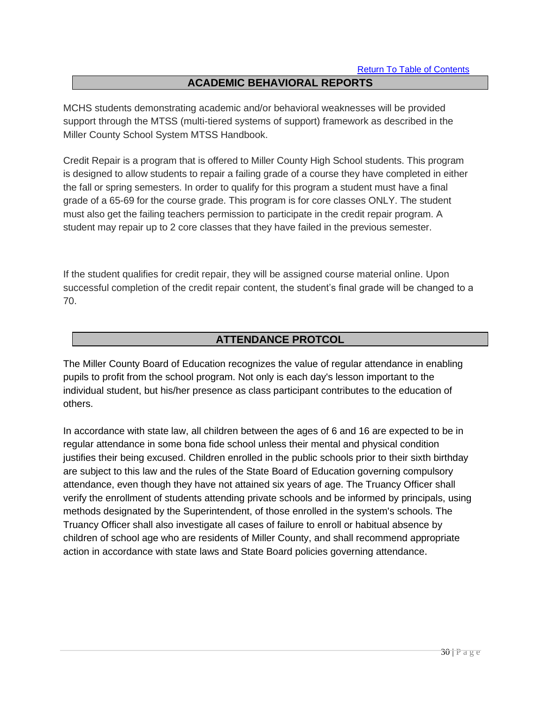# **ACADEMIC BEHAVIORAL REPORTS**

MCHS students demonstrating academic and/or behavioral weaknesses will be provided support through the MTSS (multi-tiered systems of support) framework as described in the Miller County School System MTSS Handbook.

Credit Repair is a program that is offered to Miller County High School students. This program is designed to allow students to repair a failing grade of a course they have completed in either the fall or spring semesters. In order to qualify for this program a student must have a final grade of a 65-69 for the course grade. This program is for core classes ONLY. The student must also get the failing teachers permission to participate in the credit repair program. A student may repair up to 2 core classes that they have failed in the previous semester.

If the student qualifies for credit repair, they will be assigned course material online. Upon successful completion of the credit repair content, the student's final grade will be changed to a 70.

# **ATTENDANCE PROTCOL**

The Miller County Board of Education recognizes the value of regular attendance in enabling pupils to profit from the school program. Not only is each day's lesson important to the individual student, but his/her presence as class participant contributes to the education of others.

In accordance with state law, all children between the ages of 6 and 16 are expected to be in regular attendance in some bona fide school unless their mental and physical condition justifies their being excused. Children enrolled in the public schools prior to their sixth birthday are subject to this law and the rules of the State Board of Education governing compulsory attendance, even though they have not attained six years of age. The Truancy Officer shall verify the enrollment of students attending private schools and be informed by principals, using methods designated by the Superintendent, of those enrolled in the system's schools. The Truancy Officer shall also investigate all cases of failure to enroll or habitual absence by children of school age who are residents of Miller County, and shall recommend appropriate action in accordance with state laws and State Board policies governing attendance.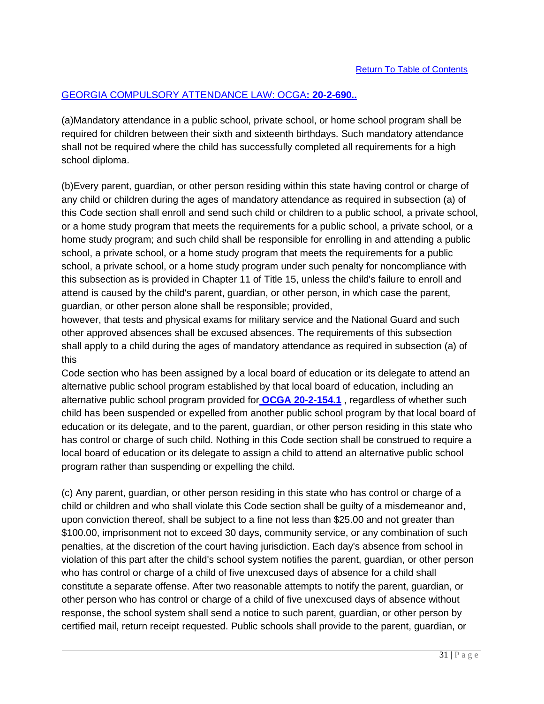# GEORGIA COMPULSORY ATTENDANCE LAW: OCGA**: 20-2-690..**

(a)Mandatory attendance in a public school, private school, or home school program shall be required for children between their sixth and sixteenth birthdays. Such mandatory attendance shall not be required where the child has successfully completed all requirements for a high school diploma.

(b)Every parent, guardian, or other person residing within this state having control or charge of any child or children during the ages of mandatory attendance as required in subsection (a) of this Code section shall enroll and send such child or children to a public school, a private school, or a home study program that meets the requirements for a public school, a private school, or a home study program; and such child shall be responsible for enrolling in and attending a public school, a private school, or a home study program that meets the requirements for a public school, a private school, or a home study program under such penalty for noncompliance with this subsection as is provided in Chapter 11 of Title 15, unless the child's failure to enroll and attend is caused by the child's parent, guardian, or other person, in which case the parent, guardian, or other person alone shall be responsible; provided,

however, that tests and physical exams for military service and the National Guard and such other approved absences shall be excused absences. The requirements of this subsection shall apply to a child during the ages of mandatory attendance as required in subsection (a) of this

Code section who has been assigned by a local board of education or its delegate to attend an alternative public school program established by that local board of education, including an alternative public school program provided for **OCGA 20-2-154.1** , regardless of whether such child has been suspended or expelled from another public school program by that local board of education or its delegate, and to the parent, guardian, or other person residing in this state who has control or charge of such child. Nothing in this Code section shall be construed to require a local board of education or its delegate to assign a child to attend an alternative public school program rather than suspending or expelling the child.

(c) Any parent, guardian, or other person residing in this state who has control or charge of a child or children and who shall violate this Code section shall be guilty of a misdemeanor and, upon conviction thereof, shall be subject to a fine not less than \$25.00 and not greater than \$100.00, imprisonment not to exceed 30 days, community service, or any combination of such penalties, at the discretion of the court having jurisdiction. Each day's absence from school in violation of this part after the child's school system notifies the parent, guardian, or other person who has control or charge of a child of five unexcused days of absence for a child shall constitute a separate offense. After two reasonable attempts to notify the parent, guardian, or other person who has control or charge of a child of five unexcused days of absence without response, the school system shall send a notice to such parent, guardian, or other person by certified mail, return receipt requested. Public schools shall provide to the parent, guardian, or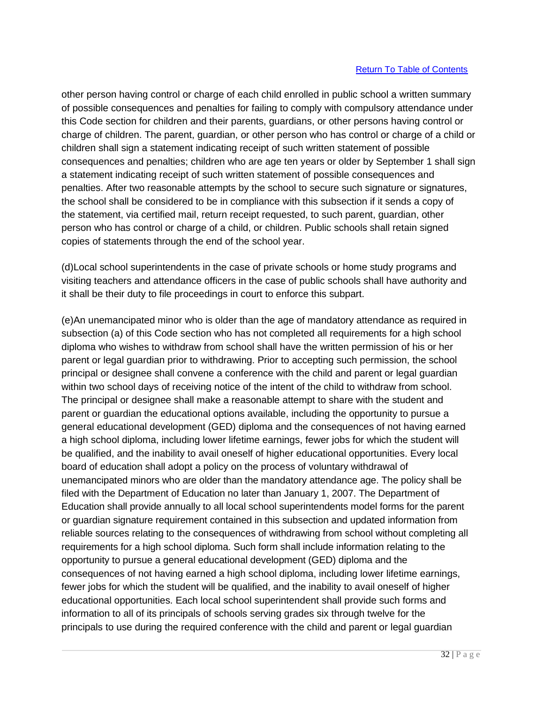other person having control or charge of each child enrolled in public school a written summary of possible consequences and penalties for failing to comply with compulsory attendance under this Code section for children and their parents, guardians, or other persons having control or charge of children. The parent, guardian, or other person who has control or charge of a child or children shall sign a statement indicating receipt of such written statement of possible consequences and penalties; children who are age ten years or older by September 1 shall sign a statement indicating receipt of such written statement of possible consequences and penalties. After two reasonable attempts by the school to secure such signature or signatures, the school shall be considered to be in compliance with this subsection if it sends a copy of the statement, via certified mail, return receipt requested, to such parent, guardian, other person who has control or charge of a child, or children. Public schools shall retain signed copies of statements through the end of the school year.

(d)Local school superintendents in the case of private schools or home study programs and visiting teachers and attendance officers in the case of public schools shall have authority and it shall be their duty to file proceedings in court to enforce this subpart.

(e)An unemancipated minor who is older than the age of mandatory attendance as required in subsection (a) of this Code section who has not completed all requirements for a high school diploma who wishes to withdraw from school shall have the written permission of his or her parent or legal guardian prior to withdrawing. Prior to accepting such permission, the school principal or designee shall convene a conference with the child and parent or legal guardian within two school days of receiving notice of the intent of the child to withdraw from school. The principal or designee shall make a reasonable attempt to share with the student and parent or guardian the educational options available, including the opportunity to pursue a general educational development (GED) diploma and the consequences of not having earned a high school diploma, including lower lifetime earnings, fewer jobs for which the student will be qualified, and the inability to avail oneself of higher educational opportunities. Every local board of education shall adopt a policy on the process of voluntary withdrawal of unemancipated minors who are older than the mandatory attendance age. The policy shall be filed with the Department of Education no later than January 1, 2007. The Department of Education shall provide annually to all local school superintendents model forms for the parent or guardian signature requirement contained in this subsection and updated information from reliable sources relating to the consequences of withdrawing from school without completing all requirements for a high school diploma. Such form shall include information relating to the opportunity to pursue a general educational development (GED) diploma and the consequences of not having earned a high school diploma, including lower lifetime earnings, fewer jobs for which the student will be qualified, and the inability to avail oneself of higher educational opportunities. Each local school superintendent shall provide such forms and information to all of its principals of schools serving grades six through twelve for the principals to use during the required conference with the child and parent or legal guardian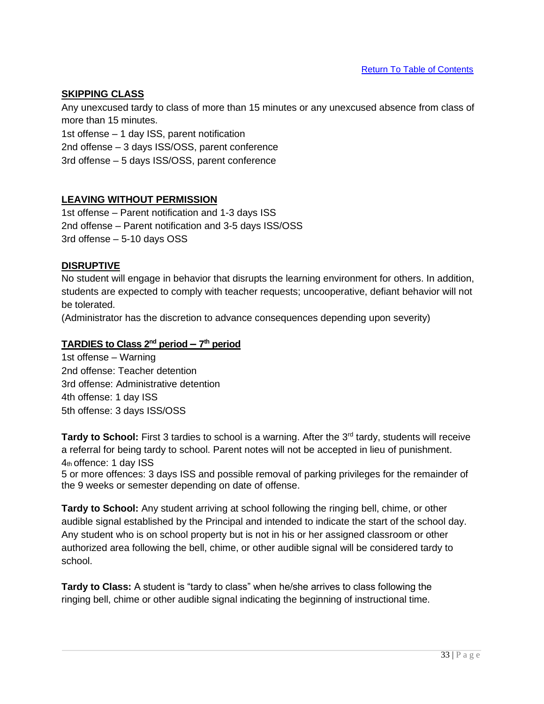Return To Table of Contents

### **SKIPPING CLASS**

Any unexcused tardy to class of more than 15 minutes or any unexcused absence from class of more than 15 minutes.

1st offense – 1 day ISS, parent notification

2nd offense – 3 days ISS/OSS, parent conference

3rd offense – 5 days ISS/OSS, parent conference

### **LEAVING WITHOUT PERMISSION**

1st offense – Parent notification and 1-3 days ISS 2nd offense – Parent notification and 3-5 days ISS/OSS 3rd offense – 5-10 days OSS

### **DISRUPTIVE**

No student will engage in behavior that disrupts the learning environment for others. In addition, students are expected to comply with teacher requests; uncooperative, defiant behavior will not be tolerated.

(Administrator has the discretion to advance consequences depending upon severity)

### **TARDIES to Class 2nd period – 7 th period**

1st offense – Warning 2nd offense: Teacher detention 3rd offense: Administrative detention 4th offense: 1 day ISS 5th offense: 3 days ISS/OSS

Tardy to School: First 3 tardies to school is a warning. After the 3<sup>rd</sup> tardy, students will receive a referral for being tardy to school. Parent notes will not be accepted in lieu of punishment. 4th offence: 1 day ISS

5 or more offences: 3 days ISS and possible removal of parking privileges for the remainder of the 9 weeks or semester depending on date of offense.

**Tardy to School:** Any student arriving at school following the ringing bell, chime, or other audible signal established by the Principal and intended to indicate the start of the school day. Any student who is on school property but is not in his or her assigned classroom or other authorized area following the bell, chime, or other audible signal will be considered tardy to school.

**Tardy to Class:** A student is "tardy to class" when he/she arrives to class following the ringing bell, chime or other audible signal indicating the beginning of instructional time.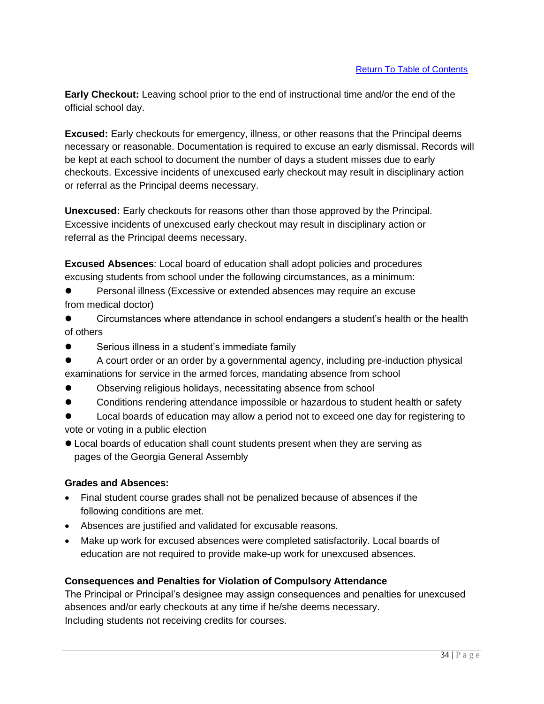**Early Checkout:** Leaving school prior to the end of instructional time and/or the end of the official school day.

**Excused:** Early checkouts for emergency, illness, or other reasons that the Principal deems necessary or reasonable. Documentation is required to excuse an early dismissal. Records will be kept at each school to document the number of days a student misses due to early checkouts. Excessive incidents of unexcused early checkout may result in disciplinary action or referral as the Principal deems necessary.

**Unexcused:** Early checkouts for reasons other than those approved by the Principal. Excessive incidents of unexcused early checkout may result in disciplinary action or referral as the Principal deems necessary.

**Excused Absences**: Local board of education shall adopt policies and procedures excusing students from school under the following circumstances, as a minimum:

● Personal illness (Excessive or extended absences may require an excuse from medical doctor)

● Circumstances where attendance in school endangers a student's health or the health of others

- ⚫ Serious illness in a student's immediate family
- ⚫ A court order or an order by a governmental agency, including pre-induction physical examinations for service in the armed forces, mandating absence from school
- ⚫ Observing religious holidays, necessitating absence from school
- Conditions rendering attendance impossible or hazardous to student health or safety

⚫ Local boards of education may allow a period not to exceed one day for registering to vote or voting in a public election

⚫ Local boards of education shall count students present when they are serving as pages of the Georgia General Assembly

### **Grades and Absences:**

- Final student course grades shall not be penalized because of absences if the following conditions are met.
- Absences are justified and validated for excusable reasons.
- Make up work for excused absences were completed satisfactorily. Local boards of education are not required to provide make-up work for unexcused absences.

### **Consequences and Penalties for Violation of Compulsory Attendance**

The Principal or Principal's designee may assign consequences and penalties for unexcused absences and/or early checkouts at any time if he/she deems necessary. Including students not receiving credits for courses.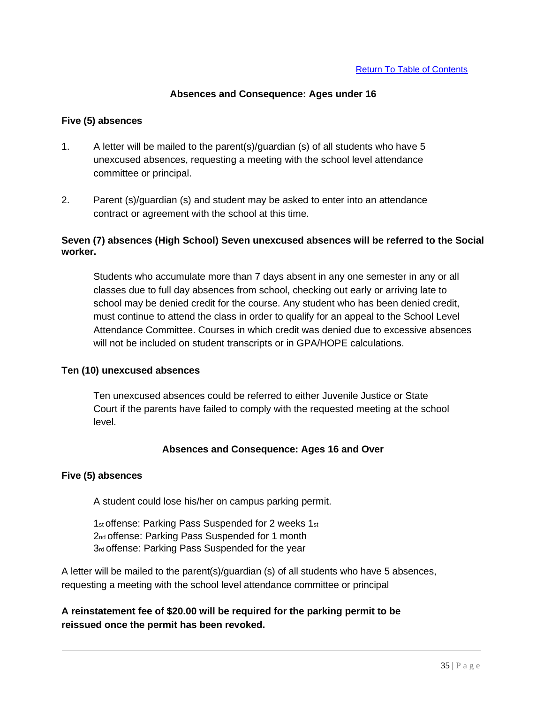### **Absences and Consequence: Ages under 16**

### **Five (5) absences**

- 1. A letter will be mailed to the parent(s)/guardian (s) of all students who have 5 unexcused absences, requesting a meeting with the school level attendance committee or principal.
- 2. Parent (s)/guardian (s) and student may be asked to enter into an attendance contract or agreement with the school at this time.

### **Seven (7) absences (High School) Seven unexcused absences will be referred to the Social worker.**

Students who accumulate more than 7 days absent in any one semester in any or all classes due to full day absences from school, checking out early or arriving late to school may be denied credit for the course. Any student who has been denied credit, must continue to attend the class in order to qualify for an appeal to the School Level Attendance Committee. Courses in which credit was denied due to excessive absences will not be included on student transcripts or in GPA/HOPE calculations.

#### **Ten (10) unexcused absences**

Ten unexcused absences could be referred to either Juvenile Justice or State Court if the parents have failed to comply with the requested meeting at the school level.

### **Absences and Consequence: Ages 16 and Over**

#### **Five (5) absences**

A student could lose his/her on campus parking permit.

1st offense: Parking Pass Suspended for 2 weeks 1st 2nd offense: Parking Pass Suspended for 1 month 3rd offense: Parking Pass Suspended for the year

A letter will be mailed to the parent(s)/guardian (s) of all students who have 5 absences, requesting a meeting with the school level attendance committee or principal

**A reinstatement fee of \$20.00 will be required for the parking permit to be reissued once the permit has been revoked.**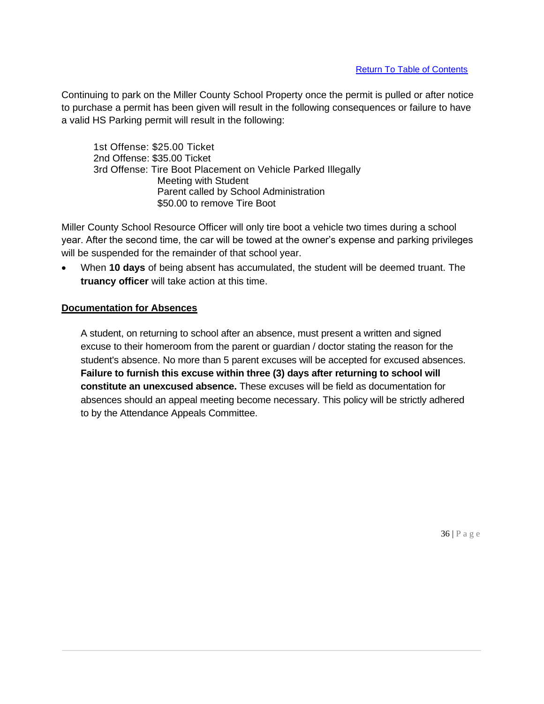Continuing to park on the Miller County School Property once the permit is pulled or after notice to purchase a permit has been given will result in the following consequences or failure to have a valid HS Parking permit will result in the following:

1st Offense: \$25.00 Ticket 2nd Offense: \$35.00 Ticket 3rd Offense: Tire Boot Placement on Vehicle Parked Illegally Meeting with Student Parent called by School Administration \$50.00 to remove Tire Boot

Miller County School Resource Officer will only tire boot a vehicle two times during a school year. After the second time, the car will be towed at the owner's expense and parking privileges will be suspended for the remainder of that school year.

• When **10 days** of being absent has accumulated, the student will be deemed truant. The **truancy officer** will take action at this time.

### **Documentation for Absences**

A student, on returning to school after an absence, must present a written and signed excuse to their homeroom from the parent or guardian / doctor stating the reason for the student's absence. No more than 5 parent excuses will be accepted for excused absences. **Failure to furnish this excuse within three (3) days after returning to school will constitute an unexcused absence.** These excuses will be field as documentation for absences should an appeal meeting become necessary. This policy will be strictly adhered to by the Attendance Appeals Committee.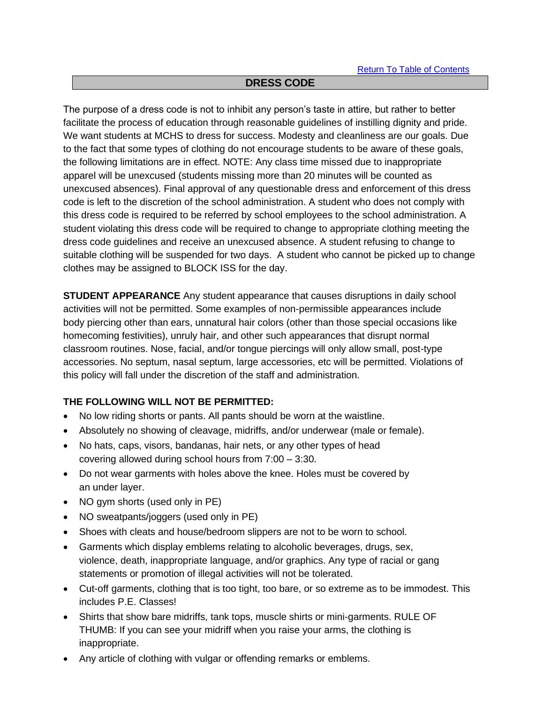## **DRESS CODE**

The purpose of a dress code is not to inhibit any person's taste in attire, but rather to better facilitate the process of education through reasonable guidelines of instilling dignity and pride. We want students at MCHS to dress for success. Modesty and cleanliness are our goals. Due to the fact that some types of clothing do not encourage students to be aware of these goals, the following limitations are in effect. NOTE: Any class time missed due to inappropriate apparel will be unexcused (students missing more than 20 minutes will be counted as unexcused absences). Final approval of any questionable dress and enforcement of this dress code is left to the discretion of the school administration. A student who does not comply with this dress code is required to be referred by school employees to the school administration. A student violating this dress code will be required to change to appropriate clothing meeting the dress code guidelines and receive an unexcused absence. A student refusing to change to suitable clothing will be suspended for two days. A student who cannot be picked up to change clothes may be assigned to BLOCK ISS for the day.

**STUDENT APPEARANCE** Any student appearance that causes disruptions in daily school activities will not be permitted. Some examples of non-permissible appearances include body piercing other than ears, unnatural hair colors (other than those special occasions like homecoming festivities), unruly hair, and other such appearances that disrupt normal classroom routines. Nose, facial, and/or tongue piercings will only allow small, post-type accessories. No septum, nasal septum, large accessories, etc will be permitted. Violations of this policy will fall under the discretion of the staff and administration.

# **THE FOLLOWING WILL NOT BE PERMITTED:**

- No low riding shorts or pants. All pants should be worn at the waistline.
- Absolutely no showing of cleavage, midriffs, and/or underwear (male or female).
- No hats, caps, visors, bandanas, hair nets, or any other types of head covering allowed during school hours from 7:00 – 3:30.
- Do not wear garments with holes above the knee. Holes must be covered by an under layer.
- NO gym shorts (used only in PE)
- NO sweatpants/joggers (used only in PE)
- Shoes with cleats and house/bedroom slippers are not to be worn to school.
- Garments which display emblems relating to alcoholic beverages, drugs, sex, violence, death, inappropriate language, and/or graphics. Any type of racial or gang statements or promotion of illegal activities will not be tolerated.
- Cut-off garments, clothing that is too tight, too bare, or so extreme as to be immodest. This includes P.E. Classes!
- Shirts that show bare midriffs, tank tops, muscle shirts or mini-garments. RULE OF THUMB: If you can see your midriff when you raise your arms, the clothing is inappropriate.
- Any article of clothing with vulgar or offending remarks or emblems.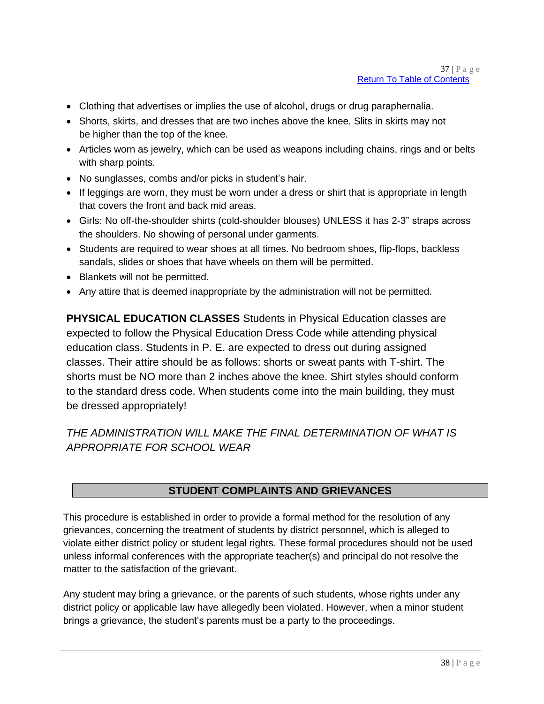- Clothing that advertises or implies the use of alcohol, drugs or drug paraphernalia.
- Shorts, skirts, and dresses that are two inches above the knee. Slits in skirts may not be higher than the top of the knee.
- Articles worn as jewelry, which can be used as weapons including chains, rings and or belts with sharp points.
- No sunglasses, combs and/or picks in student's hair.
- If leggings are worn, they must be worn under a dress or shirt that is appropriate in length that covers the front and back mid areas.
- Girls: No off-the-shoulder shirts (cold-shoulder blouses) UNLESS it has 2-3" straps across the shoulders. No showing of personal under garments.
- Students are required to wear shoes at all times. No bedroom shoes, flip-flops, backless sandals, slides or shoes that have wheels on them will be permitted.
- Blankets will not be permitted.
- Any attire that is deemed inappropriate by the administration will not be permitted.

**PHYSICAL EDUCATION CLASSES** Students in Physical Education classes are expected to follow the Physical Education Dress Code while attending physical education class. Students in P. E. are expected to dress out during assigned classes. Their attire should be as follows: shorts or sweat pants with T-shirt. The shorts must be NO more than 2 inches above the knee. Shirt styles should conform to the standard dress code. When students come into the main building, they must be dressed appropriately!

*THE ADMINISTRATION WILL MAKE THE FINAL DETERMINATION OF WHAT IS APPROPRIATE FOR SCHOOL WEAR*

# **STUDENT COMPLAINTS AND GRIEVANCES**

This procedure is established in order to provide a formal method for the resolution of any grievances, concerning the treatment of students by district personnel, which is alleged to violate either district policy or student legal rights. These formal procedures should not be used unless informal conferences with the appropriate teacher(s) and principal do not resolve the matter to the satisfaction of the grievant.

Any student may bring a grievance, or the parents of such students, whose rights under any district policy or applicable law have allegedly been violated. However, when a minor student brings a grievance, the student's parents must be a party to the proceedings.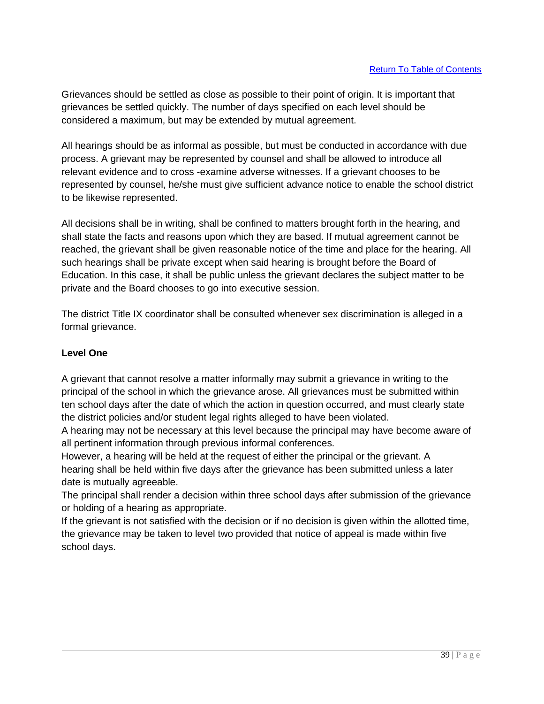Grievances should be settled as close as possible to their point of origin. It is important that grievances be settled quickly. The number of days specified on each level should be considered a maximum, but may be extended by mutual agreement.

All hearings should be as informal as possible, but must be conducted in accordance with due process. A grievant may be represented by counsel and shall be allowed to introduce all relevant evidence and to cross -examine adverse witnesses. If a grievant chooses to be represented by counsel, he/she must give sufficient advance notice to enable the school district to be likewise represented.

All decisions shall be in writing, shall be confined to matters brought forth in the hearing, and shall state the facts and reasons upon which they are based. If mutual agreement cannot be reached, the grievant shall be given reasonable notice of the time and place for the hearing. All such hearings shall be private except when said hearing is brought before the Board of Education. In this case, it shall be public unless the grievant declares the subject matter to be private and the Board chooses to go into executive session.

The district Title IX coordinator shall be consulted whenever sex discrimination is alleged in a formal grievance.

# **Level One**

A grievant that cannot resolve a matter informally may submit a grievance in writing to the principal of the school in which the grievance arose. All grievances must be submitted within ten school days after the date of which the action in question occurred, and must clearly state the district policies and/or student legal rights alleged to have been violated.

A hearing may not be necessary at this level because the principal may have become aware of all pertinent information through previous informal conferences.

However, a hearing will be held at the request of either the principal or the grievant. A hearing shall be held within five days after the grievance has been submitted unless a later date is mutually agreeable.

The principal shall render a decision within three school days after submission of the grievance or holding of a hearing as appropriate.

If the grievant is not satisfied with the decision or if no decision is given within the allotted time, the grievance may be taken to level two provided that notice of appeal is made within five school days.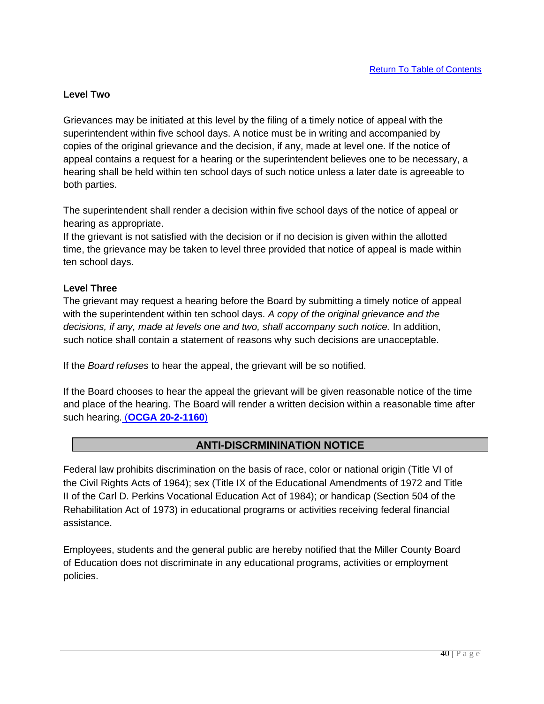### **Level Two**

Grievances may be initiated at this level by the filing of a timely notice of appeal with the superintendent within five school days. A notice must be in writing and accompanied by copies of the original grievance and the decision, if any, made at level one. If the notice of appeal contains a request for a hearing or the superintendent believes one to be necessary, a hearing shall be held within ten school days of such notice unless a later date is agreeable to both parties.

The superintendent shall render a decision within five school days of the notice of appeal or hearing as appropriate.

If the grievant is not satisfied with the decision or if no decision is given within the allotted time, the grievance may be taken to level three provided that notice of appeal is made within ten school days.

### **Level Three**

The grievant may request a hearing before the Board by submitting a timely notice of appeal with the superintendent within ten school days. *A copy of the original grievance and the*  decisions, if any, made at levels one and two, shall accompany such notice. In addition, such notice shall contain a statement of reasons why such decisions are unacceptable.

If the *Board refuses* to hear the appeal, the grievant will be so notified.

If the Board chooses to hear the appeal the grievant will be given reasonable notice of the time and place of the hearing. The Board will render a written decision within a reasonable time after such hearing. (**OCGA 20-2-1160**)

# **ANTI-DISCRMININATION NOTICE**

Federal law prohibits discrimination on the basis of race, color or national origin (Title VI of the Civil Rights Acts of 1964); sex (Title IX of the Educational Amendments of 1972 and Title II of the Carl D. Perkins Vocational Education Act of 1984); or handicap (Section 504 of the Rehabilitation Act of 1973) in educational programs or activities receiving federal financial assistance.

Employees, students and the general public are hereby notified that the Miller County Board of Education does not discriminate in any educational programs, activities or employment policies.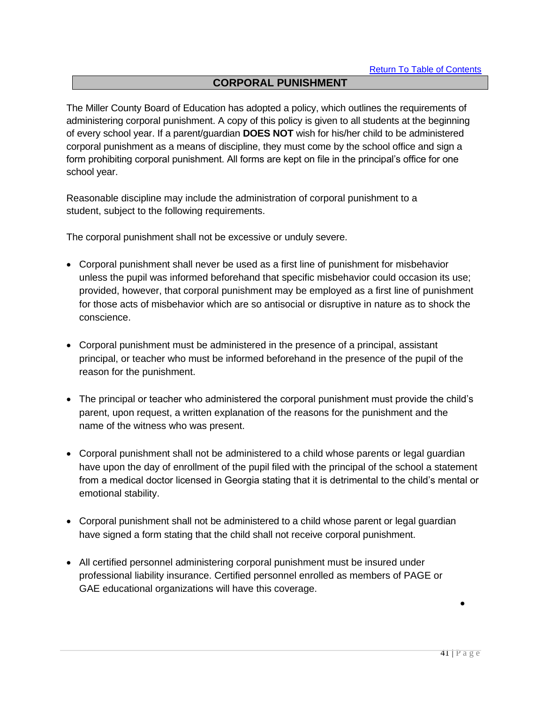## **CORPORAL PUNISHMENT**

The Miller County Board of Education has adopted a policy, which outlines the requirements of administering corporal punishment. A copy of this policy is given to all students at the beginning of every school year. If a parent/guardian **DOES NOT** wish for his/her child to be administered corporal punishment as a means of discipline, they must come by the school office and sign a form prohibiting corporal punishment. All forms are kept on file in the principal's office for one school year.

Reasonable discipline may include the administration of corporal punishment to a student, subject to the following requirements.

The corporal punishment shall not be excessive or unduly severe.

- Corporal punishment shall never be used as a first line of punishment for misbehavior unless the pupil was informed beforehand that specific misbehavior could occasion its use; provided, however, that corporal punishment may be employed as a first line of punishment for those acts of misbehavior which are so antisocial or disruptive in nature as to shock the conscience.
- Corporal punishment must be administered in the presence of a principal, assistant principal, or teacher who must be informed beforehand in the presence of the pupil of the reason for the punishment.
- The principal or teacher who administered the corporal punishment must provide the child's parent, upon request, a written explanation of the reasons for the punishment and the name of the witness who was present.
- Corporal punishment shall not be administered to a child whose parents or legal guardian have upon the day of enrollment of the pupil filed with the principal of the school a statement from a medical doctor licensed in Georgia stating that it is detrimental to the child's mental or emotional stability.
- Corporal punishment shall not be administered to a child whose parent or legal guardian have signed a form stating that the child shall not receive corporal punishment.
- All certified personnel administering corporal punishment must be insured under professional liability insurance. Certified personnel enrolled as members of PAGE or GAE educational organizations will have this coverage.

•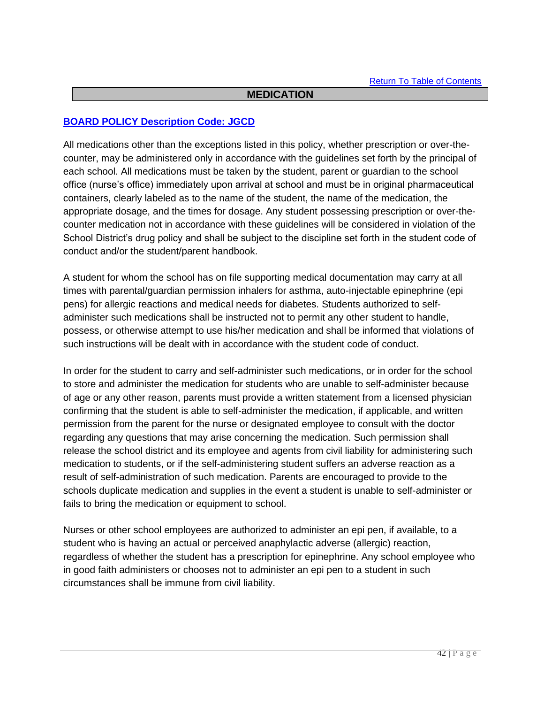### **MEDICATION**

### **BOARD POLICY Description Code: JGCD**

All medications other than the exceptions listed in this policy, whether prescription or over-thecounter, may be administered only in accordance with the guidelines set forth by the principal of each school. All medications must be taken by the student, parent or guardian to the school office (nurse's office) immediately upon arrival at school and must be in original pharmaceutical containers, clearly labeled as to the name of the student, the name of the medication, the appropriate dosage, and the times for dosage. Any student possessing prescription or over-thecounter medication not in accordance with these guidelines will be considered in violation of the School District's drug policy and shall be subject to the discipline set forth in the student code of conduct and/or the student/parent handbook.

A student for whom the school has on file supporting medical documentation may carry at all times with parental/guardian permission inhalers for asthma, auto-injectable epinephrine (epi pens) for allergic reactions and medical needs for diabetes. Students authorized to selfadminister such medications shall be instructed not to permit any other student to handle, possess, or otherwise attempt to use his/her medication and shall be informed that violations of such instructions will be dealt with in accordance with the student code of conduct.

In order for the student to carry and self-administer such medications, or in order for the school to store and administer the medication for students who are unable to self-administer because of age or any other reason, parents must provide a written statement from a licensed physician confirming that the student is able to self-administer the medication, if applicable, and written permission from the parent for the nurse or designated employee to consult with the doctor regarding any questions that may arise concerning the medication. Such permission shall release the school district and its employee and agents from civil liability for administering such medication to students, or if the self-administering student suffers an adverse reaction as a result of self-administration of such medication. Parents are encouraged to provide to the schools duplicate medication and supplies in the event a student is unable to self-administer or fails to bring the medication or equipment to school.

Nurses or other school employees are authorized to administer an epi pen, if available, to a student who is having an actual or perceived anaphylactic adverse (allergic) reaction, regardless of whether the student has a prescription for epinephrine. Any school employee who in good faith administers or chooses not to administer an epi pen to a student in such circumstances shall be immune from civil liability.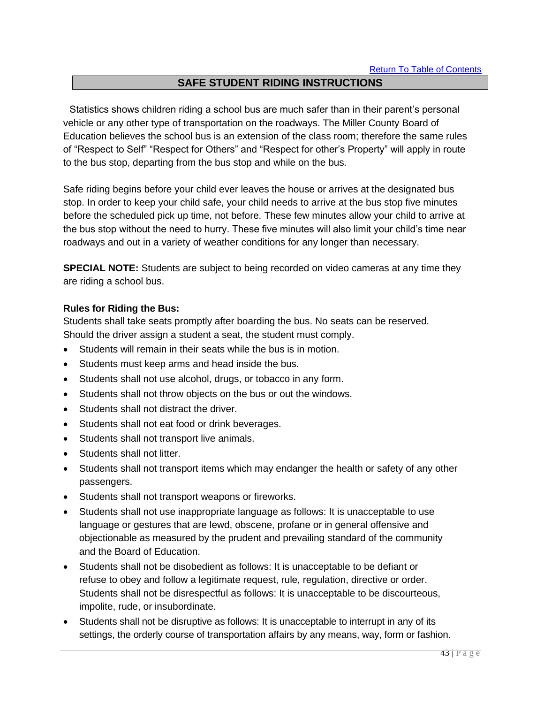# **SAFE STUDENT RIDING INSTRUCTIONS**

Statistics shows children riding a school bus are much safer than in their parent's personal vehicle or any other type of transportation on the roadways. The Miller County Board of Education believes the school bus is an extension of the class room; therefore the same rules of "Respect to Self" "Respect for Others" and "Respect for other's Property" will apply in route to the bus stop, departing from the bus stop and while on the bus.

Safe riding begins before your child ever leaves the house or arrives at the designated bus stop. In order to keep your child safe, your child needs to arrive at the bus stop five minutes before the scheduled pick up time, not before. These few minutes allow your child to arrive at the bus stop without the need to hurry. These five minutes will also limit your child's time near roadways and out in a variety of weather conditions for any longer than necessary.

**SPECIAL NOTE:** Students are subject to being recorded on video cameras at any time they are riding a school bus.

### **Rules for Riding the Bus:**

Students shall take seats promptly after boarding the bus. No seats can be reserved. Should the driver assign a student a seat, the student must comply.

- Students will remain in their seats while the bus is in motion.
- Students must keep arms and head inside the bus.
- Students shall not use alcohol, drugs, or tobacco in any form.
- Students shall not throw objects on the bus or out the windows.
- Students shall not distract the driver.
- Students shall not eat food or drink beverages.
- Students shall not transport live animals.
- Students shall not litter.
- Students shall not transport items which may endanger the health or safety of any other passengers.
- Students shall not transport weapons or fireworks.
- Students shall not use inappropriate language as follows: It is unacceptable to use language or gestures that are lewd, obscene, profane or in general offensive and objectionable as measured by the prudent and prevailing standard of the community and the Board of Education.
- Students shall not be disobedient as follows: It is unacceptable to be defiant or refuse to obey and follow a legitimate request, rule, regulation, directive or order. Students shall not be disrespectful as follows: It is unacceptable to be discourteous, impolite, rude, or insubordinate.
- Students shall not be disruptive as follows: It is unacceptable to interrupt in any of its settings, the orderly course of transportation affairs by any means, way, form or fashion.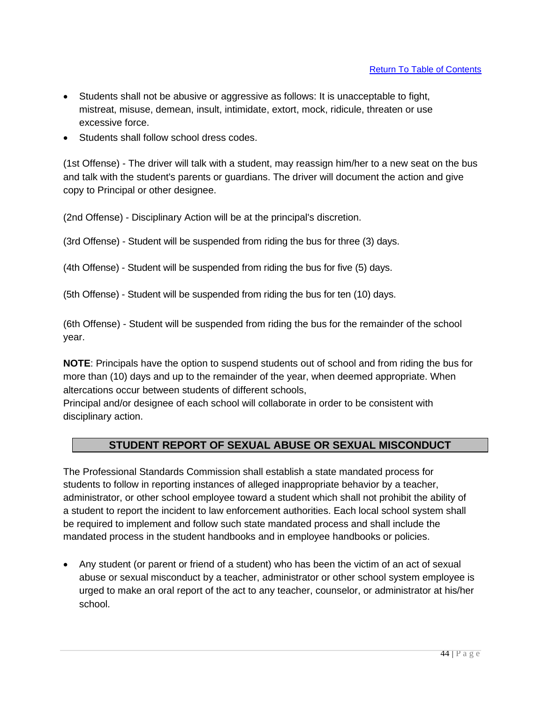- Students shall not be abusive or aggressive as follows: It is unacceptable to fight, mistreat, misuse, demean, insult, intimidate, extort, mock, ridicule, threaten or use excessive force.
- Students shall follow school dress codes.

(1st Offense) - The driver will talk with a student, may reassign him/her to a new seat on the bus and talk with the student's parents or guardians. The driver will document the action and give copy to Principal or other designee.

(2nd Offense) - Disciplinary Action will be at the principal's discretion.

(3rd Offense) - Student will be suspended from riding the bus for three (3) days.

(4th Offense) - Student will be suspended from riding the bus for five (5) days.

(5th Offense) - Student will be suspended from riding the bus for ten (10) days.

(6th Offense) - Student will be suspended from riding the bus for the remainder of the school year.

**NOTE**: Principals have the option to suspend students out of school and from riding the bus for more than (10) days and up to the remainder of the year, when deemed appropriate. When altercations occur between students of different schools,

Principal and/or designee of each school will collaborate in order to be consistent with disciplinary action.

# **STUDENT REPORT OF SEXUAL ABUSE OR SEXUAL MISCONDUCT**

The Professional Standards Commission shall establish a state mandated process for students to follow in reporting instances of alleged inappropriate behavior by a teacher, administrator, or other school employee toward a student which shall not prohibit the ability of a student to report the incident to law enforcement authorities. Each local school system shall be required to implement and follow such state mandated process and shall include the mandated process in the student handbooks and in employee handbooks or policies.

• Any student (or parent or friend of a student) who has been the victim of an act of sexual abuse or sexual misconduct by a teacher, administrator or other school system employee is urged to make an oral report of the act to any teacher, counselor, or administrator at his/her school.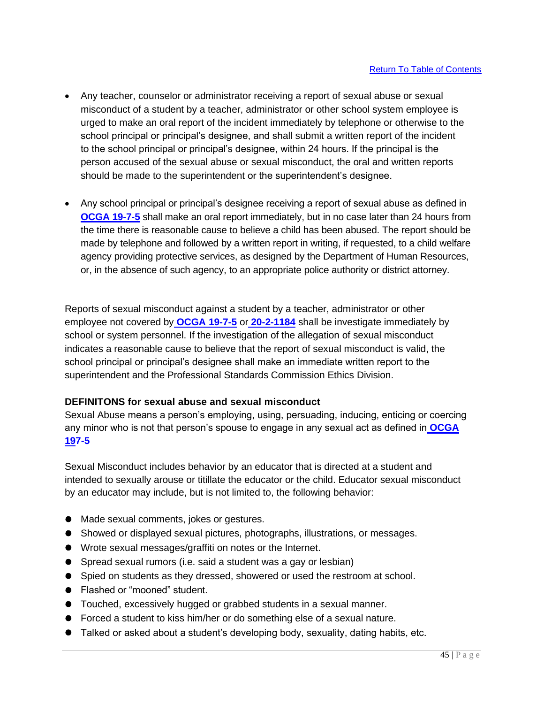- Any teacher, counselor or administrator receiving a report of sexual abuse or sexual misconduct of a student by a teacher, administrator or other school system employee is urged to make an oral report of the incident immediately by telephone or otherwise to the school principal or principal's designee, and shall submit a written report of the incident to the school principal or principal's designee, within 24 hours. If the principal is the person accused of the sexual abuse or sexual misconduct, the oral and written reports should be made to the superintendent or the superintendent's designee.
- Any school principal or principal's designee receiving a report of sexual abuse as defined in **OCGA 19-7-5** shall make an oral report immediately, but in no case later than 24 hours from the time there is reasonable cause to believe a child has been abused. The report should be made by telephone and followed by a written report in writing, if requested, to a child welfare agency providing protective services, as designed by the Department of Human Resources, or, in the absence of such agency, to an appropriate police authority or district attorney.

Reports of sexual misconduct against a student by a teacher, administrator or other employee not covered by **OCGA 19-7-5** or **20-2-1184** shall be investigate immediately by school or system personnel. If the investigation of the allegation of sexual misconduct indicates a reasonable cause to believe that the report of sexual misconduct is valid, the school principal or principal's designee shall make an immediate written report to the superintendent and the Professional Standards Commission Ethics Division.

# **DEFINITONS for sexual abuse and sexual misconduct**

Sexual Abuse means a person's employing, using, persuading, inducing, enticing or coercing any minor who is not that person's spouse to engage in any sexual act as defined in **OCGA 197-5**

Sexual Misconduct includes behavior by an educator that is directed at a student and intended to sexually arouse or titillate the educator or the child. Educator sexual misconduct by an educator may include, but is not limited to, the following behavior:

- Made sexual comments, jokes or gestures.
- Showed or displayed sexual pictures, photographs, illustrations, or messages.
- ⚫ Wrote sexual messages/graffiti on notes or the Internet.
- Spread sexual rumors (i.e. said a student was a gay or lesbian)
- Spied on students as they dressed, showered or used the restroom at school.
- Flashed or "mooned" student.
- Touched, excessively hugged or grabbed students in a sexual manner.
- Forced a student to kiss him/her or do something else of a sexual nature.
- ⚫ Talked or asked about a student's developing body, sexuality, dating habits, etc.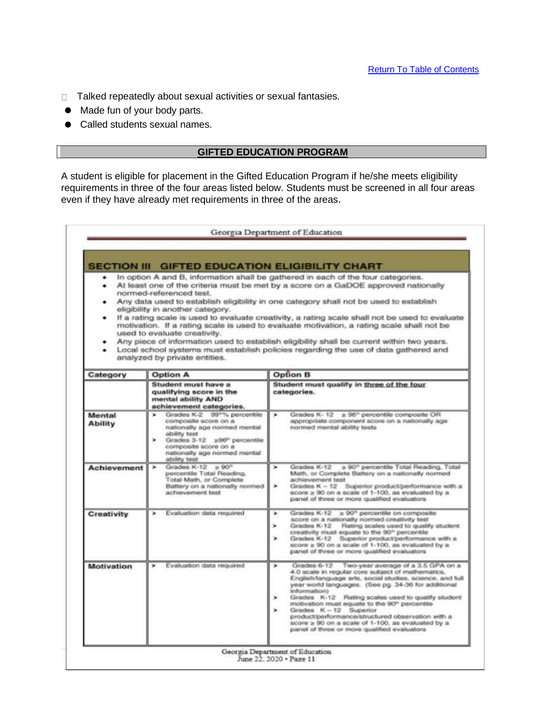- □ Talked repeatedly about sexual activities or sexual fantasies.
- ⚫ Made fun of your body parts.
- Called students sexual names.

### **GIFTED EDUCATION PROGRAM**

A student is eligible for placement in the Gifted Education Program if he/she meets eligibility requirements in three of the four areas listed below. Students must be screened in all four areas even if they have already met requirements in three of the areas.

|                          | <b>SECTION III GIFTED EDUCATION ELIGIBILITY CHART</b><br>normed-referenced test.<br>eligibility in another category.<br>used to evaluate creativity.<br>analyzed by private entities.                                   | In option A and B, information shall be gathered in each of the four categories.<br>At least one of the criteria must be met by a score on a GaDOE approved nationally<br>Any data used to establish eligibility in one category shall not be used to establish<br>If a rating scale is used to evaluate creativity, a rating scale shall not be used to evaluate<br>motivation. If a rating scale is used to evaluate motivation, a rating scale shall not be<br>Any piece of information used to establish eligibility shall be current within two years.<br>Local school systems must establish policies regarding the use of data gathered and |
|--------------------------|-------------------------------------------------------------------------------------------------------------------------------------------------------------------------------------------------------------------------|----------------------------------------------------------------------------------------------------------------------------------------------------------------------------------------------------------------------------------------------------------------------------------------------------------------------------------------------------------------------------------------------------------------------------------------------------------------------------------------------------------------------------------------------------------------------------------------------------------------------------------------------------|
| Category                 | <b>Option A</b>                                                                                                                                                                                                         | <b>Option B</b>                                                                                                                                                                                                                                                                                                                                                                                                                                                                                                                                                                                                                                    |
|                          | Student must have a<br>qualifying score in the<br>mental ability AND<br>achievement categories.                                                                                                                         | Student must qualify in three of the four<br>categories.                                                                                                                                                                                                                                                                                                                                                                                                                                                                                                                                                                                           |
| Mental<br><b>Ability</b> | Grades K-2 99 <sup>nm</sup> , percentile<br>composite score on a<br>nationally age normed mental<br>ability test<br>Grades 3-12 =96" percentile<br>composite score on a<br>nationally age normed mental<br>ability test | Grades K-12 ≥ 96 <sup>®</sup> percentile composite OR<br>appropriate component score on a nationally age<br>normed mental ability tests                                                                                                                                                                                                                                                                                                                                                                                                                                                                                                            |
| Achievement              | Grades K-12 $\geq 90^{n}$<br>percentile Total Reading,<br>Total Math, or Complete<br>Battery on a nationally normed<br>achievement test                                                                                 | > 90 <sup>n</sup> percentile Total Reading, Total<br>Grades K-12<br>$\overline{\phantom{a}}$<br>Math, or Complete Battery on a nationally normed<br>achievement test<br>Grades K - 12 Superior product/performance with a<br>score ≥ 90 on a scale of 1-100, as evaluated by a<br>panel of three or more qualified evaluators                                                                                                                                                                                                                                                                                                                      |
| Creativity               | Evaluation data required                                                                                                                                                                                                | Grades K-12 > 90 <sup>n</sup> percentile on composite<br>$\blacksquare$<br>score on a nationally normed creativity test<br>Rating scales used to qualify student.<br>⋗<br>Grades K-12<br>creativity must equate to the 90" percentile<br>Grades K-12 Superior product/performance with a<br>score ≥ 90 on a scale of 1-100, as evaluated by a<br>panel of three or more qualified evaluators                                                                                                                                                                                                                                                       |
| Motivation               | Evaluation data required                                                                                                                                                                                                | Grades 6-12 Two-year average of a 3.5 GPA on a<br>٠<br>4.0 scale in regular core subject of mathematics.<br>English/language arts, social studies, science, and full<br>year world languages. (See pg. 34-36 for additional<br>information)<br>Grades K-12 Rating scales used to qualify student<br>×<br>motivation must equate to the 90 <sup>th</sup> percentile<br>Grades K - 12 Superior<br>product/performance/structured observation with a<br>score ≥ 90 on a scale of 1-100, as evaluated by a<br>panel of three or more qualified evaluators                                                                                              |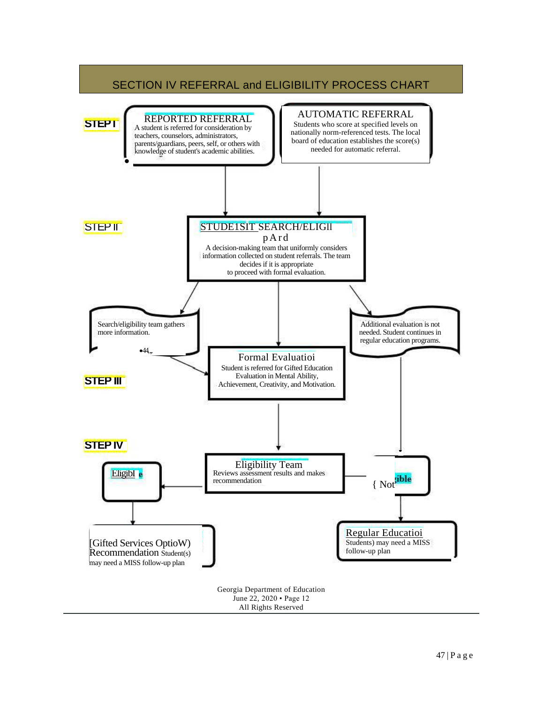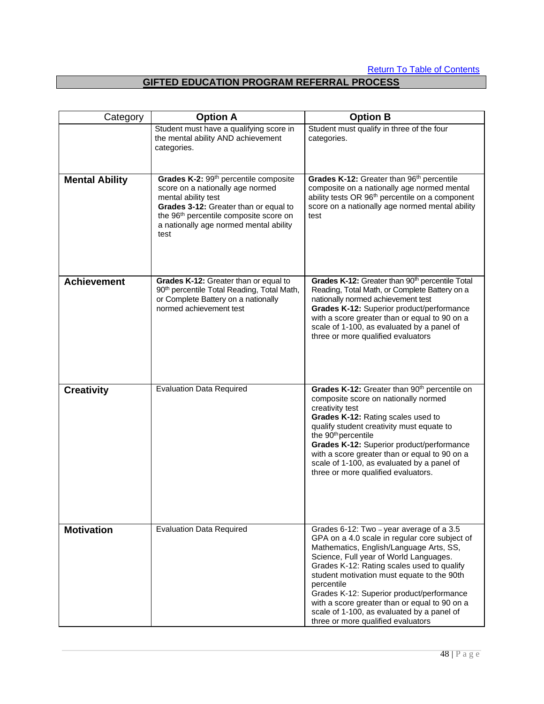# **GIFTED EDUCATION PROGRAM REFERRAL PROCESS**

| Category              | <b>Option A</b>                                                                                                                                                                                                                                               | <b>Option B</b>                                                                                                                                                                                                                                                                                                                                                                                                                                                            |
|-----------------------|---------------------------------------------------------------------------------------------------------------------------------------------------------------------------------------------------------------------------------------------------------------|----------------------------------------------------------------------------------------------------------------------------------------------------------------------------------------------------------------------------------------------------------------------------------------------------------------------------------------------------------------------------------------------------------------------------------------------------------------------------|
|                       | Student must have a qualifying score in<br>the mental ability AND achievement<br>categories.                                                                                                                                                                  | Student must qualify in three of the four<br>categories.                                                                                                                                                                                                                                                                                                                                                                                                                   |
| <b>Mental Ability</b> | Grades K-2: 99 <sup>th</sup> percentile composite<br>score on a nationally age normed<br>mental ability test<br>Grades 3-12: Greater than or equal to<br>the 96 <sup>th</sup> percentile composite score on<br>a nationally age normed mental ability<br>test | Grades K-12: Greater than 96 <sup>th</sup> percentile<br>composite on a nationally age normed mental<br>ability tests OR 96 <sup>th</sup> percentile on a component<br>score on a nationally age normed mental ability<br>test                                                                                                                                                                                                                                             |
| <b>Achievement</b>    | Grades K-12: Greater than or equal to<br>90 <sup>th</sup> percentile Total Reading, Total Math,<br>or Complete Battery on a nationally<br>normed achievement test                                                                                             | Grades K-12: Greater than 90 <sup>th</sup> percentile Total<br>Reading, Total Math, or Complete Battery on a<br>nationally normed achievement test<br>Grades K-12: Superior product/performance<br>with a score greater than or equal to 90 on a<br>scale of 1-100, as evaluated by a panel of<br>three or more qualified evaluators                                                                                                                                       |
| <b>Creativity</b>     | <b>Evaluation Data Required</b>                                                                                                                                                                                                                               | Grades K-12: Greater than 90 <sup>th</sup> percentile on<br>composite score on nationally normed<br>creativity test<br>Grades K-12: Rating scales used to<br>qualify student creativity must equate to<br>the 90 <sup>th</sup> percentile<br>Grades K-12: Superior product/performance<br>with a score greater than or equal to 90 on a<br>scale of 1-100, as evaluated by a panel of<br>three or more qualified evaluators.                                               |
| <b>Motivation</b>     | <b>Evaluation Data Required</b>                                                                                                                                                                                                                               | Grades 6-12: Two - year average of a 3.5<br>GPA on a 4.0 scale in regular core subject of<br>Mathematics, English/Language Arts, SS,<br>Science, Full year of World Languages.<br>Grades K-12: Rating scales used to qualify<br>student motivation must equate to the 90th<br>percentile<br>Grades K-12: Superior product/performance<br>with a score greater than or equal to 90 on a<br>scale of 1-100, as evaluated by a panel of<br>three or more qualified evaluators |